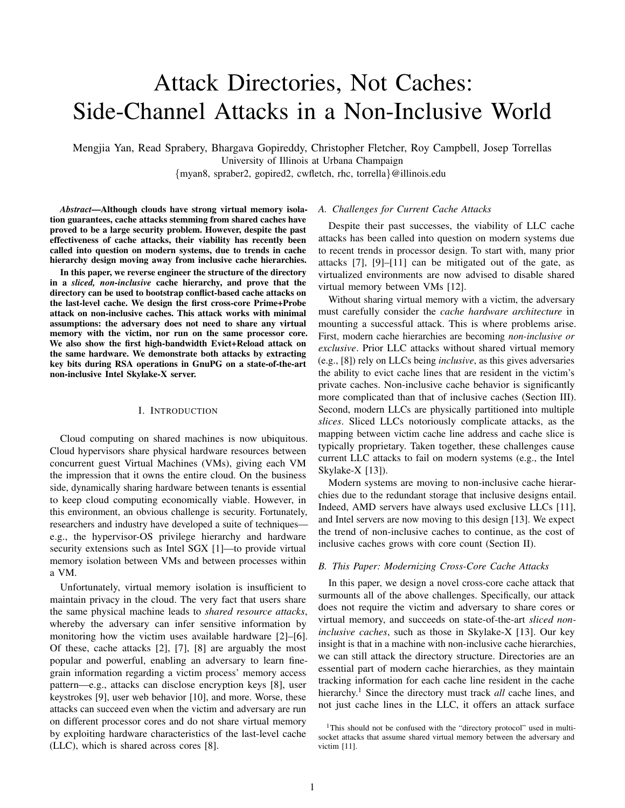# Attack Directories, Not Caches: Side-Channel Attacks in a Non-Inclusive World

Mengjia Yan, Read Sprabery, Bhargava Gopireddy, Christopher Fletcher, Roy Campbell, Josep Torrellas University of Illinois at Urbana Champaign

{myan8, spraber2, gopired2, cwfletch, rhc, torrella}@illinois.edu

*Abstract*—Although clouds have strong virtual memory isolation guarantees, cache attacks stemming from shared caches have proved to be a large security problem. However, despite the past effectiveness of cache attacks, their viability has recently been called into question on modern systems, due to trends in cache hierarchy design moving away from inclusive cache hierarchies.

In this paper, we reverse engineer the structure of the directory in a *sliced, non-inclusive* cache hierarchy, and prove that the directory can be used to bootstrap conflict-based cache attacks on the last-level cache. We design the first cross-core Prime+Probe attack on non-inclusive caches. This attack works with minimal assumptions: the adversary does not need to share any virtual memory with the victim, nor run on the same processor core. We also show the first high-bandwidth Evict+Reload attack on the same hardware. We demonstrate both attacks by extracting key bits during RSA operations in GnuPG on a state-of-the-art non-inclusive Intel Skylake-X server.

# I. INTRODUCTION

Cloud computing on shared machines is now ubiquitous. Cloud hypervisors share physical hardware resources between concurrent guest Virtual Machines (VMs), giving each VM the impression that it owns the entire cloud. On the business side, dynamically sharing hardware between tenants is essential to keep cloud computing economically viable. However, in this environment, an obvious challenge is security. Fortunately, researchers and industry have developed a suite of techniques e.g., the hypervisor-OS privilege hierarchy and hardware security extensions such as Intel SGX [1]—to provide virtual memory isolation between VMs and between processes within a VM.

Unfortunately, virtual memory isolation is insufficient to maintain privacy in the cloud. The very fact that users share the same physical machine leads to *shared resource attacks*, whereby the adversary can infer sensitive information by monitoring how the victim uses available hardware [2]–[6]. Of these, cache attacks [2], [7], [8] are arguably the most popular and powerful, enabling an adversary to learn finegrain information regarding a victim process' memory access pattern—e.g., attacks can disclose encryption keys [8], user keystrokes [9], user web behavior [10], and more. Worse, these attacks can succeed even when the victim and adversary are run on different processor cores and do not share virtual memory by exploiting hardware characteristics of the last-level cache (LLC), which is shared across cores [8].

## *A. Challenges for Current Cache Attacks*

Despite their past successes, the viability of LLC cache attacks has been called into question on modern systems due to recent trends in processor design. To start with, many prior attacks [7], [9]–[11] can be mitigated out of the gate, as virtualized environments are now advised to disable shared virtual memory between VMs [12].

Without sharing virtual memory with a victim, the adversary must carefully consider the *cache hardware architecture* in mounting a successful attack. This is where problems arise. First, modern cache hierarchies are becoming *non-inclusive or exclusive*. Prior LLC attacks without shared virtual memory (e.g., [8]) rely on LLCs being *inclusive*, as this gives adversaries the ability to evict cache lines that are resident in the victim's private caches. Non-inclusive cache behavior is significantly more complicated than that of inclusive caches (Section III). Second, modern LLCs are physically partitioned into multiple *slices*. Sliced LLCs notoriously complicate attacks, as the mapping between victim cache line address and cache slice is typically proprietary. Taken together, these challenges cause current LLC attacks to fail on modern systems (e.g., the Intel Skylake-X [13]).

Modern systems are moving to non-inclusive cache hierarchies due to the redundant storage that inclusive designs entail. Indeed, AMD servers have always used exclusive LLCs [11], and Intel servers are now moving to this design [13]. We expect the trend of non-inclusive caches to continue, as the cost of inclusive caches grows with core count (Section II).

## *B. This Paper: Modernizing Cross-Core Cache Attacks*

In this paper, we design a novel cross-core cache attack that surmounts all of the above challenges. Specifically, our attack does not require the victim and adversary to share cores or virtual memory, and succeeds on state-of-the-art *sliced noninclusive caches*, such as those in Skylake-X [13]. Our key insight is that in a machine with non-inclusive cache hierarchies, we can still attack the directory structure. Directories are an essential part of modern cache hierarchies, as they maintain tracking information for each cache line resident in the cache hierarchy.<sup>1</sup> Since the directory must track *all* cache lines, and not just cache lines in the LLC, it offers an attack surface

<sup>&</sup>lt;sup>1</sup>This should not be confused with the "directory protocol" used in multisocket attacks that assume shared virtual memory between the adversary and victim [11].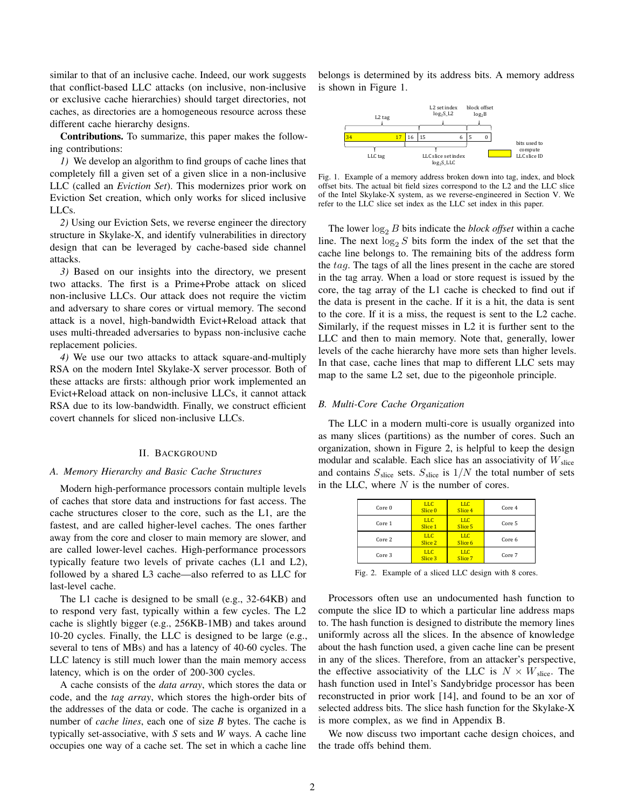similar to that of an inclusive cache. Indeed, our work suggests that conflict-based LLC attacks (on inclusive, non-inclusive or exclusive cache hierarchies) should target directories, not caches, as directories are a homogeneous resource across these different cache hierarchy designs.

Contributions. To summarize, this paper makes the following contributions:

*1)* We develop an algorithm to find groups of cache lines that completely fill a given set of a given slice in a non-inclusive LLC (called an *Eviction Set*). This modernizes prior work on Eviction Set creation, which only works for sliced inclusive LLCs.

*2)* Using our Eviction Sets, we reverse engineer the directory structure in Skylake-X, and identify vulnerabilities in directory design that can be leveraged by cache-based side channel attacks.

*3)* Based on our insights into the directory, we present two attacks. The first is a Prime+Probe attack on sliced non-inclusive LLCs. Our attack does not require the victim and adversary to share cores or virtual memory. The second attack is a novel, high-bandwidth Evict+Reload attack that uses multi-threaded adversaries to bypass non-inclusive cache replacement policies.

*4)* We use our two attacks to attack square-and-multiply RSA on the modern Intel Skylake-X server processor. Both of these attacks are firsts: although prior work implemented an Evict+Reload attack on non-inclusive LLCs, it cannot attack RSA due to its low-bandwidth. Finally, we construct efficient covert channels for sliced non-inclusive LLCs.

## II. BACKGROUND

## *A. Memory Hierarchy and Basic Cache Structures*

Modern high-performance processors contain multiple levels of caches that store data and instructions for fast access. The cache structures closer to the core, such as the L1, are the fastest, and are called higher-level caches. The ones farther away from the core and closer to main memory are slower, and are called lower-level caches. High-performance processors typically feature two levels of private caches (L1 and L2), followed by a shared L3 cache—also referred to as LLC for last-level cache.

The L1 cache is designed to be small (e.g., 32-64KB) and to respond very fast, typically within a few cycles. The L2 cache is slightly bigger (e.g., 256KB-1MB) and takes around 10-20 cycles. Finally, the LLC is designed to be large (e.g., several to tens of MBs) and has a latency of 40-60 cycles. The LLC latency is still much lower than the main memory access latency, which is on the order of 200-300 cycles.

A cache consists of the *data array*, which stores the data or code, and the *tag array*, which stores the high-order bits of the addresses of the data or code. The cache is organized in a number of *cache lines*, each one of size *B* bytes. The cache is typically set-associative, with *S* sets and *W* ways. A cache line occupies one way of a cache set. The set in which a cache line belongs is determined by its address bits. A memory address is shown in Figure 1.



Fig. 1. Example of a memory address broken down into tag, index, and block offset bits. The actual bit field sizes correspond to the L2 and the LLC slice of the Intel Skylake-X system, as we reverse-engineered in Section V. We refer to the LLC slice set index as the LLC set index in this paper.

The lower  $\log_2 B$  bits indicate the *block offset* within a cache line. The next  $log_2 S$  bits form the index of the set that the cache line belongs to. The remaining bits of the address form the tag. The tags of all the lines present in the cache are stored in the tag array. When a load or store request is issued by the core, the tag array of the L1 cache is checked to find out if the data is present in the cache. If it is a hit, the data is sent to the core. If it is a miss, the request is sent to the L2 cache. Similarly, if the request misses in L2 it is further sent to the LLC and then to main memory. Note that, generally, lower levels of the cache hierarchy have more sets than higher levels. In that case, cache lines that map to different LLC sets may map to the same L2 set, due to the pigeonhole principle.

## *B. Multi-Core Cache Organization*

The LLC in a modern multi-core is usually organized into as many slices (partitions) as the number of cores. Such an organization, shown in Figure 2, is helpful to keep the design modular and scalable. Each slice has an associativity of  $W<sub>slice</sub>$ and contains  $S_{\text{slice}}$  sets.  $S_{\text{slice}}$  is  $1/N$  the total number of sets in the LLC, where  $N$  is the number of cores.

| Core 0 | <b>LLC</b><br>Slice <sub>0</sub> | <b>LLC</b><br>Slice 4 | Core 4 |
|--------|----------------------------------|-----------------------|--------|
| Core 1 | <b>LLC</b><br>Slice 1            | <b>LLC</b><br>Slice 5 | Core 5 |
| Core 2 | <b>LLC</b><br>Slice <sub>2</sub> | <b>LLC</b><br>Slice 6 | Core 6 |
| Core 3 | <b>LLC</b><br>Slice 3            | <b>LLC</b><br>Slice 7 | Core 7 |

Fig. 2. Example of a sliced LLC design with 8 cores.

Processors often use an undocumented hash function to compute the slice ID to which a particular line address maps to. The hash function is designed to distribute the memory lines uniformly across all the slices. In the absence of knowledge about the hash function used, a given cache line can be present in any of the slices. Therefore, from an attacker's perspective, the effective associativity of the LLC is  $N \times W_{\text{slice}}$ . The hash function used in Intel's Sandybridge processor has been reconstructed in prior work [14], and found to be an xor of selected address bits. The slice hash function for the Skylake-X is more complex, as we find in Appendix B.

We now discuss two important cache design choices, and the trade offs behind them.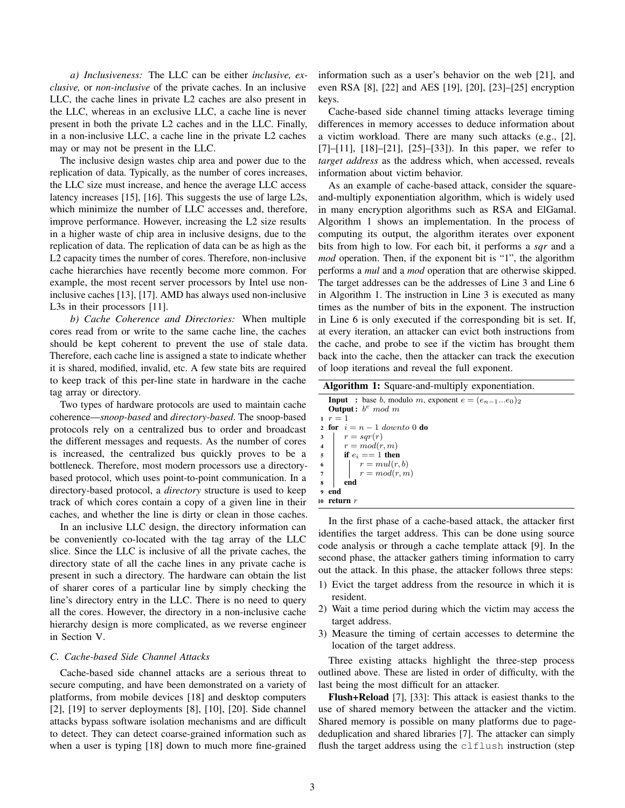*a) Inclusiveness:* The LLC can be either *inclusive, exclusive,* or *non-inclusive* of the private caches. In an inclusive LLC, the cache lines in private L2 caches are also present in the LLC, whereas in an exclusive LLC, a cache line is never present in both the private L2 caches and in the LLC. Finally, in a non-inclusive LLC, a cache line in the private L2 caches may or may not be present in the LLC.

The inclusive design wastes chip area and power due to the replication of data. Typically, as the number of cores increases, the LLC size must increase, and hence the average LLC access latency increases [15], [16]. This suggests the use of large L2s, which minimize the number of LLC accesses and, therefore, improve performance. However, increasing the L2 size results in a higher waste of chip area in inclusive designs, due to the replication of data. The replication of data can be as high as the L2 capacity times the number of cores. Therefore, non-inclusive cache hierarchies have recently become more common. For example, the most recent server processors by Intel use noninclusive caches [13], [17]. AMD has always used non-inclusive L3s in their processors [11].

*b) Cache Coherence and Directories:* When multiple cores read from or write to the same cache line, the caches should be kept coherent to prevent the use of stale data. Therefore, each cache line is assigned a state to indicate whether it is shared, modified, invalid, etc. A few state bits are required to keep track of this per-line state in hardware in the cache tag array or directory.

Two types of hardware protocols are used to maintain cache coherence—*snoop-based* and *directory-based*. The snoop-based protocols rely on a centralized bus to order and broadcast the different messages and requests. As the number of cores is increased, the centralized bus quickly proves to be a bottleneck. Therefore, most modern processors use a directorybased protocol, which uses point-to-point communication. In a directory-based protocol, a *directory* structure is used to keep track of which cores contain a copy of a given line in their caches, and whether the line is dirty or clean in those caches.

In an inclusive LLC design, the directory information can be conveniently co-located with the tag array of the LLC slice. Since the LLC is inclusive of all the private caches, the directory state of all the cache lines in any private cache is present in such a directory. The hardware can obtain the list of sharer cores of a particular line by simply checking the line's directory entry in the LLC. There is no need to query all the cores. However, the directory in a non-inclusive cache hierarchy design is more complicated, as we reverse engineer in Section V.

## *C. Cache-based Side Channel Attacks*

Cache-based side channel attacks are a serious threat to secure computing, and have been demonstrated on a variety of platforms, from mobile devices [18] and desktop computers [2], [19] to server deployments [8], [10], [20]. Side channel attacks bypass software isolation mechanisms and are difficult to detect. They can detect coarse-grained information such as when a user is typing [18] down to much more fine-grained information such as a user's behavior on the web [21], and even RSA [8], [22] and AES [19], [20], [23]–[25] encryption keys.

Cache-based side channel timing attacks leverage timing differences in memory accesses to deduce information about a victim workload. There are many such attacks (e.g., [2],  $[7]-[11]$ ,  $[18]-[21]$ ,  $[25]-[33]$ ). In this paper, we refer to *target address* as the address which, when accessed, reveals information about victim behavior.

As an example of cache-based attack, consider the squareand-multiply exponentiation algorithm, which is widely used in many encryption algorithms such as RSA and ElGamal. Algorithm 1 shows an implementation. In the process of computing its output, the algorithm iterates over exponent bits from high to low. For each bit, it performs a *sqr* and a *mod* operation. Then, if the exponent bit is "1", the algorithm performs a *mul* and a *mod* operation that are otherwise skipped. The target addresses can be the addresses of Line 3 and Line 6 in Algorithm 1. The instruction in Line 3 is executed as many times as the number of bits in the exponent. The instruction in Line 6 is only executed if the corresponding bit is set. If, at every iteration, an attacker can evict both instructions from the cache, and probe to see if the victim has brought them back into the cache, then the attacker can track the execution of loop iterations and reveal the full exponent.

| <b>Algorithm 1:</b> Square-and-multiply exponentiation.        |
|----------------------------------------------------------------|
| <b>Input</b> : base b, modulo m, exponent $e = (e_{n-1}e_0)_2$ |
| <b>Output</b> : $b^e \mod m$                                   |
| $r = 1$                                                        |
| 2 for $i = n - 1$ down to 0 do                                 |
| $r = sqr(r)$<br>3                                              |
| 4 $r = mod(r, m)$                                              |
| <b>if</b> $e_i == 1$ then<br>5                                 |
| $r = mul(r, b)$<br>$\begin{array}{c} 6 \\ 7 \end{array}$       |
| $\vert \quad r = mod(r, m)$                                    |
| end<br>8                                                       |
| end                                                            |
| 10 return $r$                                                  |

In the first phase of a cache-based attack, the attacker first identifies the target address. This can be done using source code analysis or through a cache template attack [9]. In the second phase, the attacker gathers timing information to carry out the attack. In this phase, the attacker follows three steps:

- 1) Evict the target address from the resource in which it is resident.
- 2) Wait a time period during which the victim may access the target address.
- 3) Measure the timing of certain accesses to determine the location of the target address.

Three existing attacks highlight the three-step process outlined above. These are listed in order of difficulty, with the last being the most difficult for an attacker.

Flush+Reload [7], [33]: This attack is easiest thanks to the use of shared memory between the attacker and the victim. Shared memory is possible on many platforms due to pagededuplication and shared libraries [7]. The attacker can simply flush the target address using the clflush instruction (step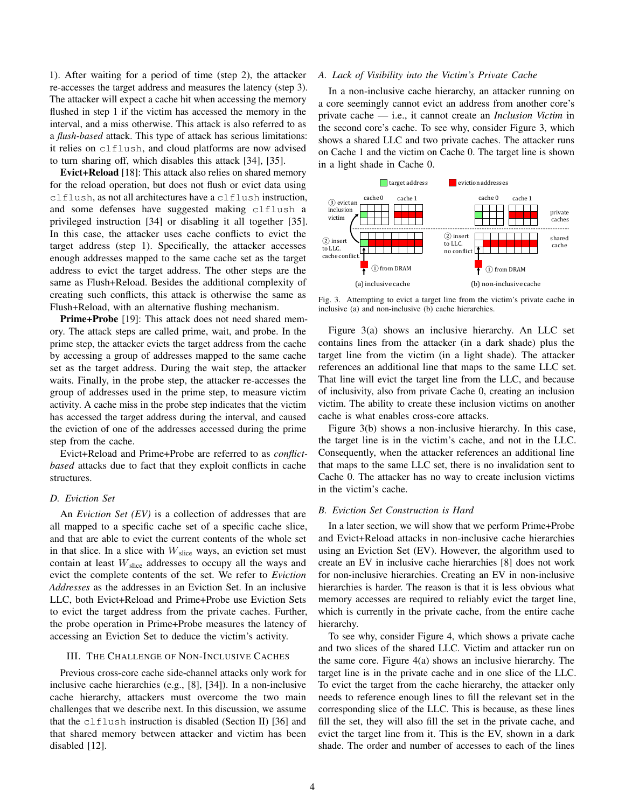1). After waiting for a period of time (step 2), the attacker re-accesses the target address and measures the latency (step 3). The attacker will expect a cache hit when accessing the memory flushed in step 1 if the victim has accessed the memory in the interval, and a miss otherwise. This attack is also referred to as a *flush-based* attack. This type of attack has serious limitations: it relies on clflush, and cloud platforms are now advised to turn sharing off, which disables this attack [34], [35].

Evict+Reload [18]: This attack also relies on shared memory for the reload operation, but does not flush or evict data using clflush, as not all architectures have a clflush instruction, and some defenses have suggested making clflush a privileged instruction [34] or disabling it all together [35]. In this case, the attacker uses cache conflicts to evict the target address (step 1). Specifically, the attacker accesses enough addresses mapped to the same cache set as the target address to evict the target address. The other steps are the same as Flush+Reload. Besides the additional complexity of creating such conflicts, this attack is otherwise the same as Flush+Reload, with an alternative flushing mechanism.

Prime+Probe [19]: This attack does not need shared memory. The attack steps are called prime, wait, and probe. In the prime step, the attacker evicts the target address from the cache by accessing a group of addresses mapped to the same cache set as the target address. During the wait step, the attacker waits. Finally, in the probe step, the attacker re-accesses the group of addresses used in the prime step, to measure victim activity. A cache miss in the probe step indicates that the victim has accessed the target address during the interval, and caused the eviction of one of the addresses accessed during the prime step from the cache.

Evict+Reload and Prime+Probe are referred to as *conflictbased* attacks due to fact that they exploit conflicts in cache structures.

## *D. Eviction Set*

An *Eviction Set (EV)* is a collection of addresses that are all mapped to a specific cache set of a specific cache slice, and that are able to evict the current contents of the whole set in that slice. In a slice with  $W<sub>slice</sub>$  ways, an eviction set must contain at least  $W<sub>slice</sub>$  addresses to occupy all the ways and evict the complete contents of the set. We refer to *Eviction Addresses* as the addresses in an Eviction Set. In an inclusive LLC, both Evict+Reload and Prime+Probe use Eviction Sets to evict the target address from the private caches. Further, the probe operation in Prime+Probe measures the latency of accessing an Eviction Set to deduce the victim's activity.

## III. THE CHALLENGE OF NON-INCLUSIVE CACHES

Previous cross-core cache side-channel attacks only work for inclusive cache hierarchies (e.g., [8], [34]). In a non-inclusive cache hierarchy, attackers must overcome the two main challenges that we describe next. In this discussion, we assume that the clflush instruction is disabled (Section II) [36] and that shared memory between attacker and victim has been disabled [12].

## *A. Lack of Visibility into the Victim's Private Cache*

In a non-inclusive cache hierarchy, an attacker running on a core seemingly cannot evict an address from another core's private cache — i.e., it cannot create an *Inclusion Victim* in the second core's cache. To see why, consider Figure 3, which shows a shared LLC and two private caches. The attacker runs on Cache 1 and the victim on Cache 0. The target line is shown in a light shade in Cache 0.



Fig. 3. Attempting to evict a target line from the victim's private cache in inclusive (a) and non-inclusive (b) cache hierarchies.

Figure 3(a) shows an inclusive hierarchy. An LLC set contains lines from the attacker (in a dark shade) plus the target line from the victim (in a light shade). The attacker references an additional line that maps to the same LLC set. That line will evict the target line from the LLC, and because of inclusivity, also from private Cache 0, creating an inclusion victim. The ability to create these inclusion victims on another cache is what enables cross-core attacks.

Figure 3(b) shows a non-inclusive hierarchy. In this case, the target line is in the victim's cache, and not in the LLC. Consequently, when the attacker references an additional line that maps to the same LLC set, there is no invalidation sent to Cache 0. The attacker has no way to create inclusion victims in the victim's cache.

# *B. Eviction Set Construction is Hard*

In a later section, we will show that we perform Prime+Probe and Evict+Reload attacks in non-inclusive cache hierarchies using an Eviction Set (EV). However, the algorithm used to create an EV in inclusive cache hierarchies [8] does not work for non-inclusive hierarchies. Creating an EV in non-inclusive hierarchies is harder. The reason is that it is less obvious what memory accesses are required to reliably evict the target line, which is currently in the private cache, from the entire cache hierarchy.

To see why, consider Figure 4, which shows a private cache and two slices of the shared LLC. Victim and attacker run on the same core. Figure 4(a) shows an inclusive hierarchy. The target line is in the private cache and in one slice of the LLC. To evict the target from the cache hierarchy, the attacker only needs to reference enough lines to fill the relevant set in the corresponding slice of the LLC. This is because, as these lines fill the set, they will also fill the set in the private cache, and evict the target line from it. This is the EV, shown in a dark shade. The order and number of accesses to each of the lines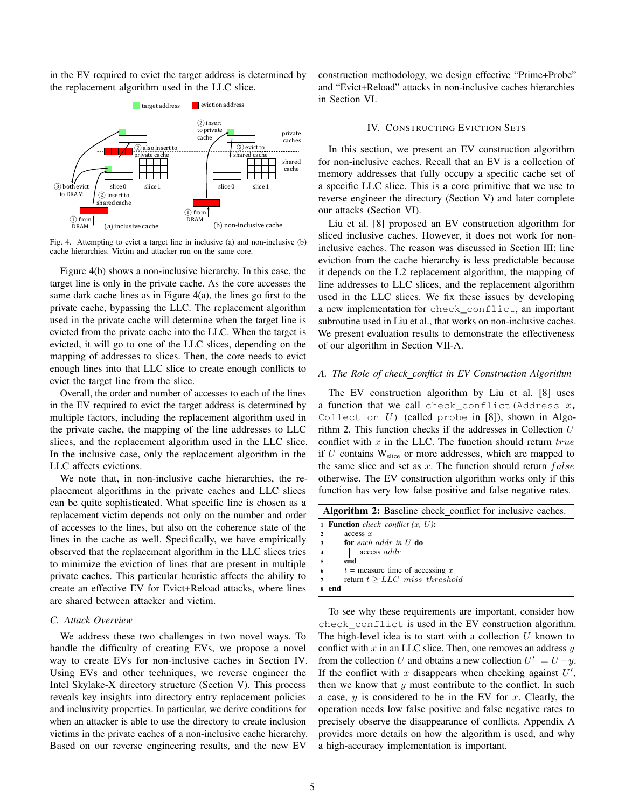in the EV required to evict the target address is determined by the replacement algorithm used in the LLC slice.



Fig. 4. Attempting to evict a target line in inclusive (a) and non-inclusive (b) cache hierarchies. Victim and attacker run on the same core.

Figure 4(b) shows a non-inclusive hierarchy. In this case, the target line is only in the private cache. As the core accesses the same dark cache lines as in Figure  $4(a)$ , the lines go first to the private cache, bypassing the LLC. The replacement algorithm used in the private cache will determine when the target line is evicted from the private cache into the LLC. When the target is evicted, it will go to one of the LLC slices, depending on the mapping of addresses to slices. Then, the core needs to evict enough lines into that LLC slice to create enough conflicts to evict the target line from the slice.

Overall, the order and number of accesses to each of the lines in the EV required to evict the target address is determined by multiple factors, including the replacement algorithm used in the private cache, the mapping of the line addresses to LLC slices, and the replacement algorithm used in the LLC slice. In the inclusive case, only the replacement algorithm in the LLC affects evictions.

We note that, in non-inclusive cache hierarchies, the replacement algorithms in the private caches and LLC slices can be quite sophisticated. What specific line is chosen as a replacement victim depends not only on the number and order of accesses to the lines, but also on the coherence state of the lines in the cache as well. Specifically, we have empirically observed that the replacement algorithm in the LLC slices tries to minimize the eviction of lines that are present in multiple private caches. This particular heuristic affects the ability to create an effective EV for Evict+Reload attacks, where lines are shared between attacker and victim.

# *C. Attack Overview*

We address these two challenges in two novel ways. To handle the difficulty of creating EVs, we propose a novel way to create EVs for non-inclusive caches in Section IV. Using EVs and other techniques, we reverse engineer the Intel Skylake-X directory structure (Section V). This process reveals key insights into directory entry replacement policies and inclusivity properties. In particular, we derive conditions for when an attacker is able to use the directory to create inclusion victims in the private caches of a non-inclusive cache hierarchy. Based on our reverse engineering results, and the new EV

construction methodology, we design effective "Prime+Probe" and "Evict+Reload" attacks in non-inclusive caches hierarchies in Section VI.

## IV. CONSTRUCTING EVICTION SETS

In this section, we present an EV construction algorithm for non-inclusive caches. Recall that an EV is a collection of memory addresses that fully occupy a specific cache set of a specific LLC slice. This is a core primitive that we use to reverse engineer the directory (Section V) and later complete our attacks (Section VI).

Liu et al. [8] proposed an EV construction algorithm for sliced inclusive caches. However, it does not work for noninclusive caches. The reason was discussed in Section III: line eviction from the cache hierarchy is less predictable because it depends on the L2 replacement algorithm, the mapping of line addresses to LLC slices, and the replacement algorithm used in the LLC slices. We fix these issues by developing a new implementation for check\_conflict, an important subroutine used in Liu et al., that works on non-inclusive caches. We present evaluation results to demonstrate the effectiveness of our algorithm in Section VII-A.

# *A. The Role of check conflict in EV Construction Algorithm*

The EV construction algorithm by Liu et al. [8] uses a function that we call check\_conflict(Address  $x$ , Collection  $U$ ) (called probe in [8]), shown in Algorithm 2. This function checks if the addresses in Collection  $U$ conflict with  $x$  in the LLC. The function should return  $true$ if  $U$  contains  $W<sub>slice</sub>$  or more addresses, which are mapped to the same slice and set as  $x$ . The function should return  $false$ otherwise. The EV construction algorithm works only if this function has very low false positive and false negative rates.

| Algorithm 2: Baseline check_conflict for inclusive caches. |  |  |  |  |  |  |  |
|------------------------------------------------------------|--|--|--|--|--|--|--|
|------------------------------------------------------------|--|--|--|--|--|--|--|

|                         | <b>1 Function</b> check_conflict $(x, U)$ : |
|-------------------------|---------------------------------------------|
| $\overline{a}$          | access x                                    |
| $\overline{\mathbf{3}}$ | <b>for</b> each addr in $U$ <b>do</b>       |
| $\overline{4}$          | access addr                                 |
| $\overline{5}$          | end                                         |
| 6                       | $t =$ measure time of accessing x           |
| $\overline{7}$          | return $t \geq LLC\_miss\_threshold$        |
| 8                       |                                             |

To see why these requirements are important, consider how check\_conflict is used in the EV construction algorithm. The high-level idea is to start with a collection  $U$  known to conflict with x in an LLC slice. Then, one removes an address  $y$ from the collection U and obtains a new collection  $U' = U - y$ . If the conflict with  $x$  disappears when checking against  $U'$ , then we know that  $y$  must contribute to the conflict. In such a case,  $y$  is considered to be in the EV for x. Clearly, the operation needs low false positive and false negative rates to precisely observe the disappearance of conflicts. Appendix A provides more details on how the algorithm is used, and why a high-accuracy implementation is important.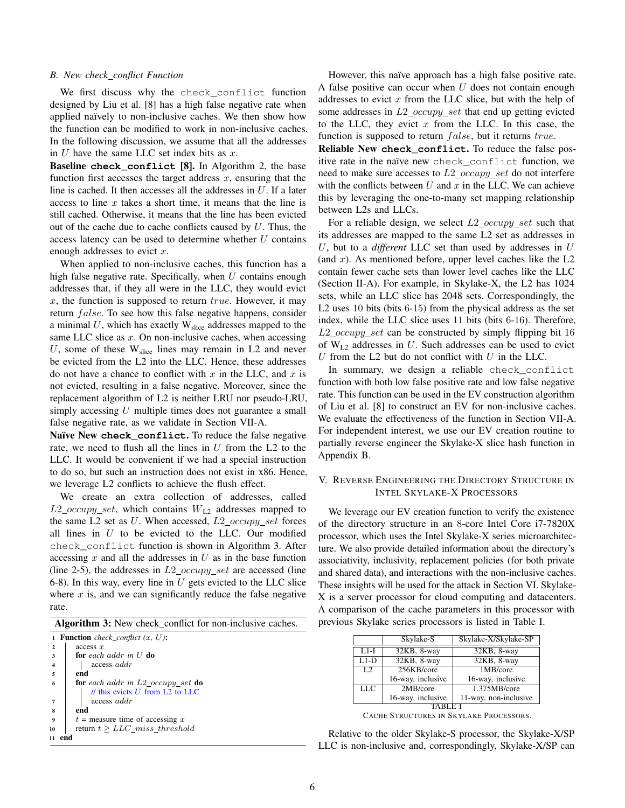#### *B. New check conflict Function*

We first discuss why the check\_conflict function designed by Liu et al. [8] has a high false negative rate when applied naïvely to non-inclusive caches. We then show how the function can be modified to work in non-inclusive caches. In the following discussion, we assume that all the addresses in  $U$  have the same LLC set index bits as  $x$ .

Baseline **check\_conflict** [8]. In Algorithm 2, the base function first accesses the target address  $x$ , ensuring that the line is cached. It then accesses all the addresses in  $U$ . If a later access to line  $x$  takes a short time, it means that the line is still cached. Otherwise, it means that the line has been evicted out of the cache due to cache conflicts caused by  $U$ . Thus, the access latency can be used to determine whether  $U$  contains enough addresses to evict  $x$ .

When applied to non-inclusive caches, this function has a high false negative rate. Specifically, when  $U$  contains enough addresses that, if they all were in the LLC, they would evict  $x$ , the function is supposed to return  $true$ . However, it may return  $false$ . To see how this false negative happens, consider a minimal  $U$ , which has exactly  $W<sub>slice</sub>$  addresses mapped to the same LLC slice as  $x$ . On non-inclusive caches, when accessing U, some of these  $W_{slice}$  lines may remain in L2 and never be evicted from the L2 into the LLC. Hence, these addresses do not have a chance to conflict with x in the LLC, and x is not evicted, resulting in a false negative. Moreover, since the replacement algorithm of L2 is neither LRU nor pseudo-LRU, simply accessing U multiple times does not guarantee a small false negative rate, as we validate in Section VII-A.

Naïve New check\_conflict. To reduce the false negative rate, we need to flush all the lines in  $U$  from the L2 to the LLC. It would be convenient if we had a special instruction to do so, but such an instruction does not exist in x86. Hence, we leverage L2 conflicts to achieve the flush effect.

We create an extra collection of addresses, called  $L2\_occupy\_set$ , which contains  $W_{L2}$  addresses mapped to the same L2 set as  $U$ . When accessed,  $L2\_occupy\_set$  forces all lines in  $U$  to be evicted to the LLC. Our modified check\_conflict function is shown in Algorithm 3. After accessing  $x$  and all the addresses in  $U$  as in the base function (line 2-5), the addresses in  $L2\_{occupy\_set}$  are accessed (line 6-8). In this way, every line in  $U$  gets evicted to the LLC slice where  $x$  is, and we can significantly reduce the false negative rate.

| Algorithm 3: New check_conflict for non-inclusive caches. |  |  |  |
|-----------------------------------------------------------|--|--|--|
|-----------------------------------------------------------|--|--|--|

|                         | <b>1 Function</b> check_conflict $(x, U)$ :       |
|-------------------------|---------------------------------------------------|
| $\overline{\mathbf{2}}$ | access x                                          |
| 3                       | for each addr in $U$ do                           |
| $\overline{4}$          | access addr                                       |
| $\overline{5}$          | end                                               |
| 6                       | <b>for</b> each addr in $L2$ occupy set <b>do</b> |
|                         | $\ell$ this evicts U from L2 to LLC               |
| $\overline{7}$          | access addr                                       |
| 8                       | end                                               |
| 9                       | $t =$ measure time of accessing x                 |
| 10                      | return $t > LLC\_miss\_threshold$                 |
|                         |                                                   |

However, this naïve approach has a high false positive rate. A false positive can occur when  $U$  does not contain enough addresses to evict  $x$  from the LLC slice, but with the help of some addresses in  $L2\_occupy\_set$  that end up getting evicted to the LLC, they evict  $x$  from the LLC. In this case, the function is supposed to return  $false$ , but it returns  $true$ .

Reliable New **check\_conflict**. To reduce the false positive rate in the naïve new check conflict function, we need to make sure accesses to  $L2\_occupy\_set$  do not interfere with the conflicts between  $U$  and  $x$  in the LLC. We can achieve this by leveraging the one-to-many set mapping relationship between L2s and LLCs.

For a reliable design, we select  $L2\_{occupy\_set}$  such that its addresses are mapped to the same L2 set as addresses in U, but to a *different* LLC set than used by addresses in U (and  $x$ ). As mentioned before, upper level caches like the  $L2$ contain fewer cache sets than lower level caches like the LLC (Section II-A). For example, in Skylake-X, the L2 has 1024 sets, while an LLC slice has 2048 sets. Correspondingly, the L2 uses 10 bits (bits 6-15) from the physical address as the set index, while the LLC slice uses 11 bits (bits 6-16). Therefore,  $L2\_occupy\_set$  can be constructed by simply flipping bit 16 of  $W_{L2}$  addresses in U. Such addresses can be used to evict U from the L2 but do not conflict with  $U$  in the LLC.

In summary, we design a reliable check\_conflict function with both low false positive rate and low false negative rate. This function can be used in the EV construction algorithm of Liu et al. [8] to construct an EV for non-inclusive caches. We evaluate the effectiveness of the function in Section VII-A. For independent interest, we use our EV creation routine to partially reverse engineer the Skylake-X slice hash function in Appendix B.

# V. REVERSE ENGINEERING THE DIRECTORY STRUCTURE IN INTEL SKYLAKE-X PROCESSORS

We leverage our EV creation function to verify the existence of the directory structure in an 8-core Intel Core i7-7820X processor, which uses the Intel Skylake-X series microarchitecture. We also provide detailed information about the directory's associativity, inclusivity, replacement policies (for both private and shared data), and interactions with the non-inclusive caches. These insights will be used for the attack in Section VI. Skylake-X is a server processor for cloud computing and datacenters. A comparison of the cache parameters in this processor with previous Skylake series processors is listed in Table I.

|                  | Skylake-S         | Skylake-X/Skylake-SP  |  |  |
|------------------|-------------------|-----------------------|--|--|
| $L1-I$           | 32KB, 8-way       | 32KB, 8-way           |  |  |
| $L1-D$           | 32KB, 8-way       | 32KB, 8-way           |  |  |
| L <sub>2</sub>   | 256KB/core        | 1MB/core              |  |  |
|                  | 16-way, inclusive | 16-way, inclusive     |  |  |
| $LL\overline{C}$ | 2MB/core          | 1.375MB/core          |  |  |
|                  | 16-way, inclusive | 11-way, non-inclusive |  |  |
|                  |                   |                       |  |  |

CACHE STRUCTURES IN SKYLAKE PROCESSORS.

Relative to the older Skylake-S processor, the Skylake-X/SP LLC is non-inclusive and, correspondingly, Skylake-X/SP can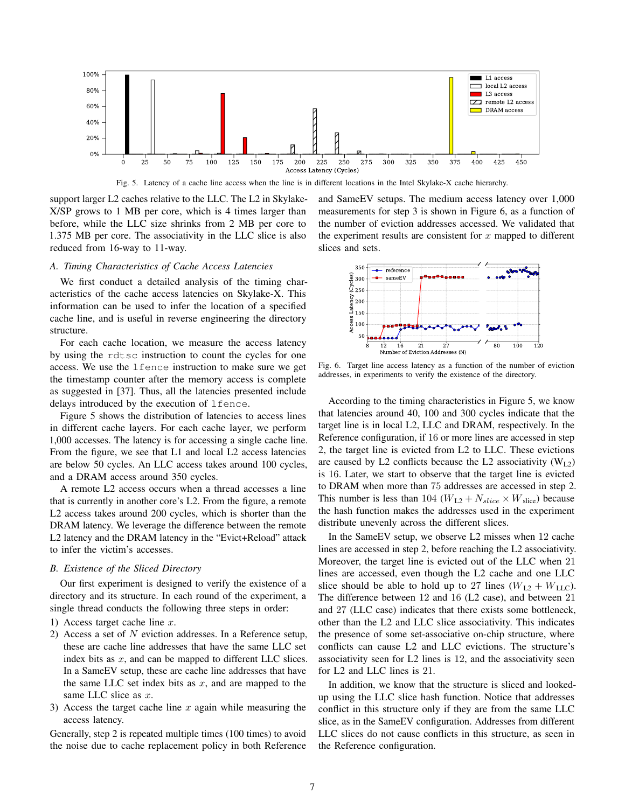

Fig. 5. Latency of a cache line access when the line is in different locations in the Intel Skylake-X cache hierarchy.

support larger L2 caches relative to the LLC. The L2 in Skylake-X/SP grows to 1 MB per core, which is 4 times larger than before, while the LLC size shrinks from 2 MB per core to 1.375 MB per core. The associativity in the LLC slice is also reduced from 16-way to 11-way.

# *A. Timing Characteristics of Cache Access Latencies*

We first conduct a detailed analysis of the timing characteristics of the cache access latencies on Skylake-X. This information can be used to infer the location of a specified cache line, and is useful in reverse engineering the directory structure.

For each cache location, we measure the access latency by using the rdtsc instruction to count the cycles for one access. We use the lfence instruction to make sure we get the timestamp counter after the memory access is complete as suggested in [37]. Thus, all the latencies presented include delays introduced by the execution of lfence.

Figure 5 shows the distribution of latencies to access lines in different cache layers. For each cache layer, we perform 1,000 accesses. The latency is for accessing a single cache line. From the figure, we see that L1 and local L2 access latencies are below 50 cycles. An LLC access takes around 100 cycles, and a DRAM access around 350 cycles.

A remote L2 access occurs when a thread accesses a line that is currently in another core's L2. From the figure, a remote L2 access takes around 200 cycles, which is shorter than the DRAM latency. We leverage the difference between the remote L2 latency and the DRAM latency in the "Evict+Reload" attack to infer the victim's accesses.

# *B. Existence of the Sliced Directory*

Our first experiment is designed to verify the existence of a directory and its structure. In each round of the experiment, a single thread conducts the following three steps in order:

- 1) Access target cache line  $x$ .
- 2) Access a set of  $N$  eviction addresses. In a Reference setup, these are cache line addresses that have the same LLC set index bits as  $x$ , and can be mapped to different LLC slices. In a SameEV setup, these are cache line addresses that have the same LLC set index bits as  $x$ , and are mapped to the same LLC slice as  $x$ .
- 3) Access the target cache line  $x$  again while measuring the access latency.

Generally, step 2 is repeated multiple times (100 times) to avoid the noise due to cache replacement policy in both Reference

and SameEV setups. The medium access latency over 1,000 measurements for step 3 is shown in Figure 6, as a function of the number of eviction addresses accessed. We validated that the experiment results are consistent for  $x$  mapped to different slices and sets.



Fig. 6. Target line access latency as a function of the number of eviction addresses, in experiments to verify the existence of the directory.

According to the timing characteristics in Figure 5, we know that latencies around 40, 100 and 300 cycles indicate that the target line is in local L2, LLC and DRAM, respectively. In the Reference configuration, if 16 or more lines are accessed in step 2, the target line is evicted from L2 to LLC. These evictions are caused by L2 conflicts because the L2 associativity  $(W_{1,2})$ is 16. Later, we start to observe that the target line is evicted to DRAM when more than 75 addresses are accessed in step 2. This number is less than 104 ( $W_{L2} + N_{slice} \times W_{slice}$ ) because the hash function makes the addresses used in the experiment distribute unevenly across the different slices.

In the SameEV setup, we observe L2 misses when 12 cache lines are accessed in step 2, before reaching the L2 associativity. Moreover, the target line is evicted out of the LLC when 21 lines are accessed, even though the L2 cache and one LLC slice should be able to hold up to 27 lines  $(W_{L2} + W_{LLC})$ . The difference between 12 and 16 (L2 case), and between 21 and 27 (LLC case) indicates that there exists some bottleneck, other than the L2 and LLC slice associativity. This indicates the presence of some set-associative on-chip structure, where conflicts can cause L2 and LLC evictions. The structure's associativity seen for L2 lines is 12, and the associativity seen for L2 and LLC lines is 21.

In addition, we know that the structure is sliced and lookedup using the LLC slice hash function. Notice that addresses conflict in this structure only if they are from the same LLC slice, as in the SameEV configuration. Addresses from different LLC slices do not cause conflicts in this structure, as seen in the Reference configuration.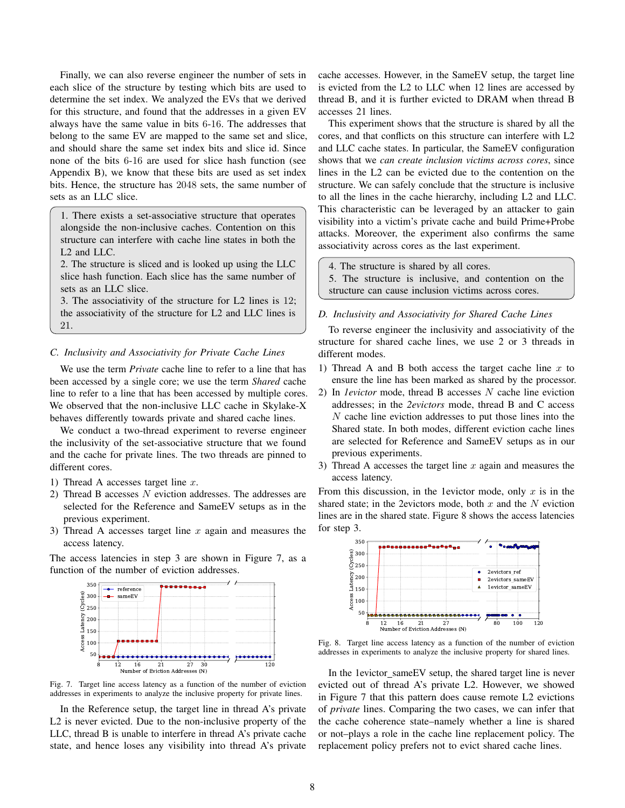Finally, we can also reverse engineer the number of sets in each slice of the structure by testing which bits are used to determine the set index. We analyzed the EVs that we derived for this structure, and found that the addresses in a given EV always have the same value in bits 6-16. The addresses that belong to the same EV are mapped to the same set and slice, and should share the same set index bits and slice id. Since none of the bits 6-16 are used for slice hash function (see Appendix B), we know that these bits are used as set index bits. Hence, the structure has 2048 sets, the same number of sets as an LLC slice.

1. There exists a set-associative structure that operates alongside the non-inclusive caches. Contention on this structure can interfere with cache line states in both the L2 and LLC.

2. The structure is sliced and is looked up using the LLC slice hash function. Each slice has the same number of sets as an LLC slice.

3. The associativity of the structure for L2 lines is 12; the associativity of the structure for L2 and LLC lines is 21.

## *C. Inclusivity and Associativity for Private Cache Lines*

We use the term *Private* cache line to refer to a line that has been accessed by a single core; we use the term *Shared* cache line to refer to a line that has been accessed by multiple cores. We observed that the non-inclusive LLC cache in Skylake-X behaves differently towards private and shared cache lines.

We conduct a two-thread experiment to reverse engineer the inclusivity of the set-associative structure that we found and the cache for private lines. The two threads are pinned to different cores.

- 1) Thread A accesses target line  $x$ .
- 2) Thread B accesses N eviction addresses. The addresses are selected for the Reference and SameEV setups as in the previous experiment.
- 3) Thread A accesses target line  $x$  again and measures the access latency.

The access latencies in step 3 are shown in Figure 7, as a function of the number of eviction addresses.



Fig. 7. Target line access latency as a function of the number of eviction addresses in experiments to analyze the inclusive property for private lines.

In the Reference setup, the target line in thread A's private L<sub>2</sub> is never evicted. Due to the non-inclusive property of the LLC, thread B is unable to interfere in thread A's private cache state, and hence loses any visibility into thread A's private cache accesses. However, in the SameEV setup, the target line is evicted from the L2 to LLC when 12 lines are accessed by thread B, and it is further evicted to DRAM when thread B accesses 21 lines.

This experiment shows that the structure is shared by all the cores, and that conflicts on this structure can interfere with L2 and LLC cache states. In particular, the SameEV configuration shows that we *can create inclusion victims across cores*, since lines in the L2 can be evicted due to the contention on the structure. We can safely conclude that the structure is inclusive to all the lines in the cache hierarchy, including L2 and LLC. This characteristic can be leveraged by an attacker to gain visibility into a victim's private cache and build Prime+Probe attacks. Moreover, the experiment also confirms the same associativity across cores as the last experiment.

4. The structure is shared by all cores.

5. The structure is inclusive, and contention on the structure can cause inclusion victims across cores.

## *D. Inclusivity and Associativity for Shared Cache Lines*

To reverse engineer the inclusivity and associativity of the structure for shared cache lines, we use 2 or 3 threads in different modes.

- 1) Thread A and B both access the target cache line  $x$  to ensure the line has been marked as shared by the processor.
- 2) In *1evictor* mode, thread B accesses N cache line eviction addresses; in the *2evictors* mode, thread B and C access  $N$  cache line eviction addresses to put those lines into the Shared state. In both modes, different eviction cache lines are selected for Reference and SameEV setups as in our previous experiments.
- 3) Thread A accesses the target line  $x$  again and measures the access latency.

From this discussion, in the 1evictor mode, only  $x$  is in the shared state; in the 2evictors mode, both  $x$  and the  $N$  eviction lines are in the shared state. Figure 8 shows the access latencies for step 3.



Fig. 8. Target line access latency as a function of the number of eviction addresses in experiments to analyze the inclusive property for shared lines.

In the 1evictor\_sameEV setup, the shared target line is never evicted out of thread A's private L2. However, we showed in Figure 7 that this pattern does cause remote L2 evictions of *private* lines. Comparing the two cases, we can infer that the cache coherence state–namely whether a line is shared or not–plays a role in the cache line replacement policy. The replacement policy prefers not to evict shared cache lines.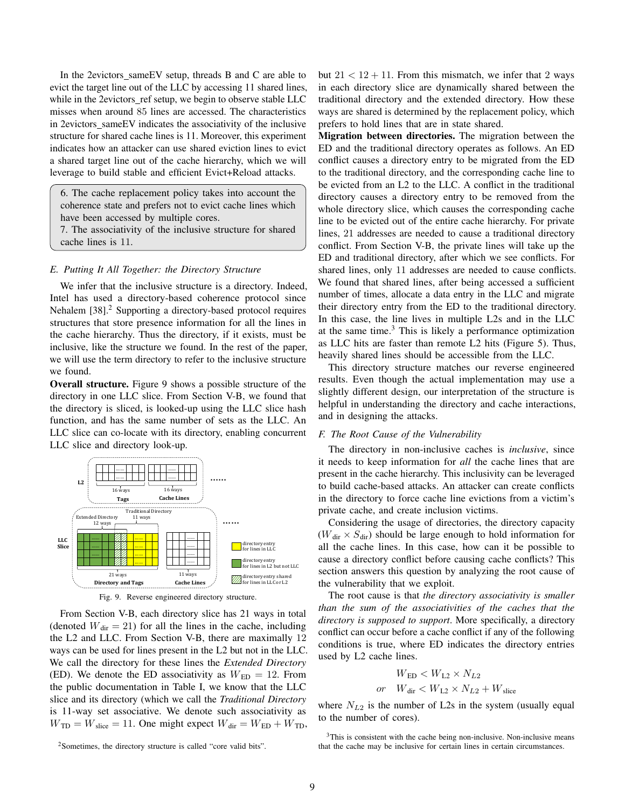In the 2evictors sameEV setup, threads B and C are able to evict the target line out of the LLC by accessing 11 shared lines, while in the 2evictors ref setup, we begin to observe stable LLC misses when around 85 lines are accessed. The characteristics in 2evictors sameEV indicates the associativity of the inclusive structure for shared cache lines is 11. Moreover, this experiment indicates how an attacker can use shared eviction lines to evict a shared target line out of the cache hierarchy, which we will leverage to build stable and efficient Evict+Reload attacks.

6. The cache replacement policy takes into account the coherence state and prefers not to evict cache lines which have been accessed by multiple cores.

7. The associativity of the inclusive structure for shared cache lines is 11.

# *E. Putting It All Together: the Directory Structure*

We infer that the inclusive structure is a directory. Indeed, Intel has used a directory-based coherence protocol since Nehalem [38].<sup>2</sup> Supporting a directory-based protocol requires structures that store presence information for all the lines in the cache hierarchy. Thus the directory, if it exists, must be inclusive, like the structure we found. In the rest of the paper, we will use the term directory to refer to the inclusive structure we found.

Overall structure. Figure 9 shows a possible structure of the directory in one LLC slice. From Section V-B, we found that the directory is sliced, is looked-up using the LLC slice hash function, and has the same number of sets as the LLC. An LLC slice can co-locate with its directory, enabling concurrent LLC slice and directory look-up.



Fig. 9. Reverse engineered directory structure.

From Section V-B, each directory slice has 21 ways in total (denoted  $W_{\text{dir}} = 21$ ) for all the lines in the cache, including the L2 and LLC. From Section V-B, there are maximally 12 ways can be used for lines present in the L2 but not in the LLC. We call the directory for these lines the *Extended Directory* (ED). We denote the ED associativity as  $W_{ED} = 12$ . From the public documentation in Table I, we know that the LLC slice and its directory (which we call the *Traditional Directory* is 11-way set associative. We denote such associativity as  $W_{\text{TD}} = W_{\text{slice}} = 11$ . One might expect  $W_{\text{dir}} = W_{\text{ED}} + W_{\text{TD}}$ , but  $21 < 12 + 11$ . From this mismatch, we infer that 2 ways in each directory slice are dynamically shared between the traditional directory and the extended directory. How these ways are shared is determined by the replacement policy, which prefers to hold lines that are in state shared.

Migration between directories. The migration between the ED and the traditional directory operates as follows. An ED conflict causes a directory entry to be migrated from the ED to the traditional directory, and the corresponding cache line to be evicted from an L2 to the LLC. A conflict in the traditional directory causes a directory entry to be removed from the whole directory slice, which causes the corresponding cache line to be evicted out of the entire cache hierarchy. For private lines, 21 addresses are needed to cause a traditional directory conflict. From Section V-B, the private lines will take up the ED and traditional directory, after which we see conflicts. For shared lines, only 11 addresses are needed to cause conflicts. We found that shared lines, after being accessed a sufficient number of times, allocate a data entry in the LLC and migrate their directory entry from the ED to the traditional directory. In this case, the line lives in multiple L2s and in the LLC at the same time. $3$  This is likely a performance optimization as LLC hits are faster than remote L2 hits (Figure 5). Thus, heavily shared lines should be accessible from the LLC.

This directory structure matches our reverse engineered results. Even though the actual implementation may use a slightly different design, our interpretation of the structure is helpful in understanding the directory and cache interactions, and in designing the attacks.

#### *F. The Root Cause of the Vulnerability*

The directory in non-inclusive caches is *inclusive*, since it needs to keep information for *all* the cache lines that are present in the cache hierarchy. This inclusivity can be leveraged to build cache-based attacks. An attacker can create conflicts in the directory to force cache line evictions from a victim's private cache, and create inclusion victims.

Considering the usage of directories, the directory capacity  $(W_{\text{dir}} \times S_{\text{dir}})$  should be large enough to hold information for all the cache lines. In this case, how can it be possible to cause a directory conflict before causing cache conflicts? This section answers this question by analyzing the root cause of the vulnerability that we exploit.

The root cause is that *the directory associativity is smaller than the sum of the associativities of the caches that the directory is supposed to support*. More specifically, a directory conflict can occur before a cache conflict if any of the following conditions is true, where ED indicates the directory entries used by L2 cache lines.

$$
W_{\rm ED} < W_{\rm L2} \times N_{L2}
$$
\nor

\n
$$
W_{\rm dir} < W_{\rm L2} \times N_{L2} + W_{\rm slice}
$$

where  $N_{L2}$  is the number of L2s in the system (usually equal to the number of cores).

<sup>2</sup>Sometimes, the directory structure is called "core valid bits".

 $3$ This is consistent with the cache being non-inclusive. Non-inclusive means that the cache may be inclusive for certain lines in certain circumstances.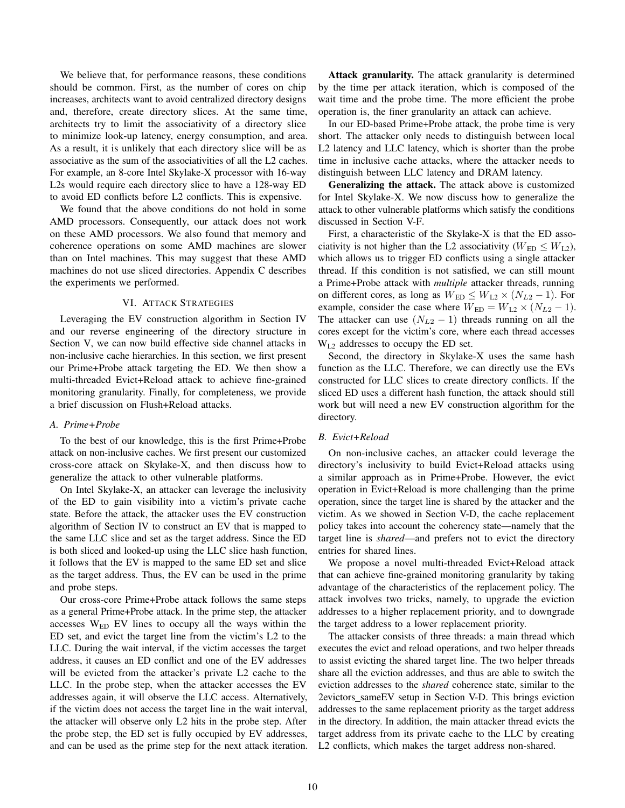We believe that, for performance reasons, these conditions should be common. First, as the number of cores on chip increases, architects want to avoid centralized directory designs and, therefore, create directory slices. At the same time, architects try to limit the associativity of a directory slice to minimize look-up latency, energy consumption, and area. As a result, it is unlikely that each directory slice will be as associative as the sum of the associativities of all the L2 caches. For example, an 8-core Intel Skylake-X processor with 16-way L2s would require each directory slice to have a 128-way ED to avoid ED conflicts before L2 conflicts. This is expensive.

We found that the above conditions do not hold in some AMD processors. Consequently, our attack does not work on these AMD processors. We also found that memory and coherence operations on some AMD machines are slower than on Intel machines. This may suggest that these AMD machines do not use sliced directories. Appendix C describes the experiments we performed.

## VI. ATTACK STRATEGIES

Leveraging the EV construction algorithm in Section IV and our reverse engineering of the directory structure in Section V, we can now build effective side channel attacks in non-inclusive cache hierarchies. In this section, we first present our Prime+Probe attack targeting the ED. We then show a multi-threaded Evict+Reload attack to achieve fine-grained monitoring granularity. Finally, for completeness, we provide a brief discussion on Flush+Reload attacks.

## *A. Prime+Probe*

To the best of our knowledge, this is the first Prime+Probe attack on non-inclusive caches. We first present our customized cross-core attack on Skylake-X, and then discuss how to generalize the attack to other vulnerable platforms.

On Intel Skylake-X, an attacker can leverage the inclusivity of the ED to gain visibility into a victim's private cache state. Before the attack, the attacker uses the EV construction algorithm of Section IV to construct an EV that is mapped to the same LLC slice and set as the target address. Since the ED is both sliced and looked-up using the LLC slice hash function, it follows that the EV is mapped to the same ED set and slice as the target address. Thus, the EV can be used in the prime and probe steps.

Our cross-core Prime+Probe attack follows the same steps as a general Prime+Probe attack. In the prime step, the attacker accesses  $W_{ED}$  EV lines to occupy all the ways within the ED set, and evict the target line from the victim's L2 to the LLC. During the wait interval, if the victim accesses the target address, it causes an ED conflict and one of the EV addresses will be evicted from the attacker's private L2 cache to the LLC. In the probe step, when the attacker accesses the EV addresses again, it will observe the LLC access. Alternatively, if the victim does not access the target line in the wait interval, the attacker will observe only L2 hits in the probe step. After the probe step, the ED set is fully occupied by EV addresses, and can be used as the prime step for the next attack iteration.

Attack granularity. The attack granularity is determined by the time per attack iteration, which is composed of the wait time and the probe time. The more efficient the probe operation is, the finer granularity an attack can achieve.

In our ED-based Prime+Probe attack, the probe time is very short. The attacker only needs to distinguish between local L2 latency and LLC latency, which is shorter than the probe time in inclusive cache attacks, where the attacker needs to distinguish between LLC latency and DRAM latency.

Generalizing the attack. The attack above is customized for Intel Skylake-X. We now discuss how to generalize the attack to other vulnerable platforms which satisfy the conditions discussed in Section V-F.

First, a characteristic of the Skylake-X is that the ED associativity is not higher than the L2 associativity ( $W_{ED} \leq W_{L2}$ ), which allows us to trigger ED conflicts using a single attacker thread. If this condition is not satisfied, we can still mount a Prime+Probe attack with *multiple* attacker threads, running on different cores, as long as  $W_{ED} \leq W_{L2} \times (N_{L2} - 1)$ . For example, consider the case where  $W_{ED} = W_{L2} \times (N_{L2} - 1)$ . The attacker can use  $(N_{L2} - 1)$  threads running on all the cores except for the victim's core, where each thread accesses  $W_{1,2}$  addresses to occupy the ED set.

Second, the directory in Skylake-X uses the same hash function as the LLC. Therefore, we can directly use the EVs constructed for LLC slices to create directory conflicts. If the sliced ED uses a different hash function, the attack should still work but will need a new EV construction algorithm for the directory.

# *B. Evict+Reload*

On non-inclusive caches, an attacker could leverage the directory's inclusivity to build Evict+Reload attacks using a similar approach as in Prime+Probe. However, the evict operation in Evict+Reload is more challenging than the prime operation, since the target line is shared by the attacker and the victim. As we showed in Section V-D, the cache replacement policy takes into account the coherency state—namely that the target line is *shared*—and prefers not to evict the directory entries for shared lines.

We propose a novel multi-threaded Evict+Reload attack that can achieve fine-grained monitoring granularity by taking advantage of the characteristics of the replacement policy. The attack involves two tricks, namely, to upgrade the eviction addresses to a higher replacement priority, and to downgrade the target address to a lower replacement priority.

The attacker consists of three threads: a main thread which executes the evict and reload operations, and two helper threads to assist evicting the shared target line. The two helper threads share all the eviction addresses, and thus are able to switch the eviction addresses to the *shared* coherence state, similar to the 2evictors sameEV setup in Section V-D. This brings eviction addresses to the same replacement priority as the target address in the directory. In addition, the main attacker thread evicts the target address from its private cache to the LLC by creating L2 conflicts, which makes the target address non-shared.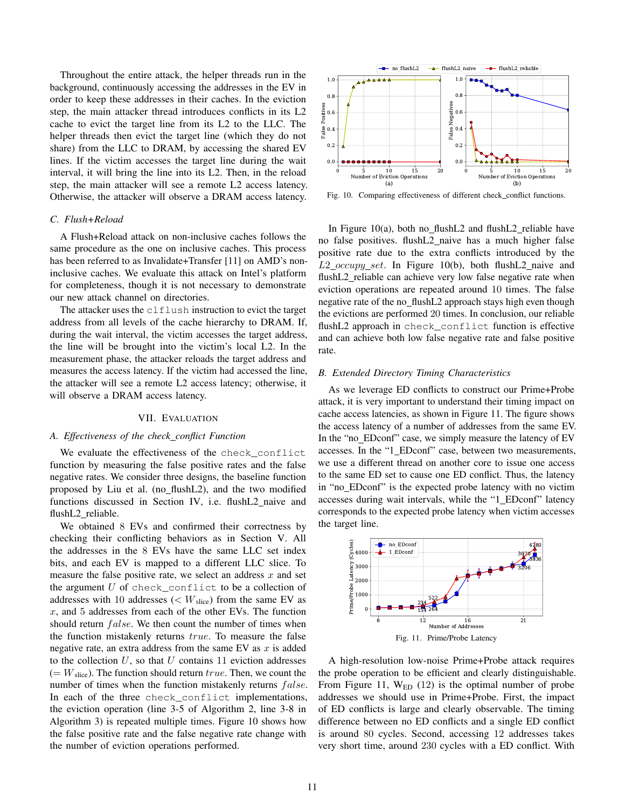Throughout the entire attack, the helper threads run in the background, continuously accessing the addresses in the EV in order to keep these addresses in their caches. In the eviction step, the main attacker thread introduces conflicts in its L2 cache to evict the target line from its L2 to the LLC. The helper threads then evict the target line (which they do not share) from the LLC to DRAM, by accessing the shared EV lines. If the victim accesses the target line during the wait interval, it will bring the line into its L2. Then, in the reload step, the main attacker will see a remote L2 access latency. Otherwise, the attacker will observe a DRAM access latency.

# *C. Flush+Reload*

A Flush+Reload attack on non-inclusive caches follows the same procedure as the one on inclusive caches. This process has been referred to as Invalidate+Transfer [11] on AMD's noninclusive caches. We evaluate this attack on Intel's platform for completeness, though it is not necessary to demonstrate our new attack channel on directories.

The attacker uses the clflush instruction to evict the target address from all levels of the cache hierarchy to DRAM. If, during the wait interval, the victim accesses the target address, the line will be brought into the victim's local L2. In the measurement phase, the attacker reloads the target address and measures the access latency. If the victim had accessed the line, the attacker will see a remote L2 access latency; otherwise, it will observe a DRAM access latency.

#### VII. EVALUATION

# *A. Effectiveness of the check conflict Function*

We evaluate the effectiveness of the check\_conflict function by measuring the false positive rates and the false negative rates. We consider three designs, the baseline function proposed by Liu et al. (no flushL2), and the two modified functions discussed in Section IV, i.e. flushL2\_naive and flushL2 reliable.

We obtained 8 EVs and confirmed their correctness by checking their conflicting behaviors as in Section V. All the addresses in the 8 EVs have the same LLC set index bits, and each EV is mapped to a different LLC slice. To measure the false positive rate, we select an address  $x$  and set the argument  $U$  of check\_conflict to be a collection of addresses with 10 addresses ( $\lt W_{\text{slice}}$ ) from the same EV as  $x$ , and 5 addresses from each of the other EVs. The function should return *false*. We then count the number of times when the function mistakenly returns true. To measure the false negative rate, an extra address from the same EV as  $x$  is added to the collection  $U$ , so that  $U$  contains 11 eviction addresses  $(= W<sub>slice</sub>)$ . The function should return true. Then, we count the number of times when the function mistakenly returns  $false$ . In each of the three check conflict implementations, the eviction operation (line 3-5 of Algorithm 2, line 3-8 in Algorithm 3) is repeated multiple times. Figure 10 shows how the false positive rate and the false negative rate change with the number of eviction operations performed.



Fig. 10. Comparing effectiveness of different check\_conflict functions.

In Figure 10(a), both no flush  $L2$  and flush  $L2$  reliable have no false positives. flushL2 naive has a much higher false positive rate due to the extra conflicts introduced by the  $L2\_{occupy\_{set}.}$  In Figure 10(b), both flush L2 naive and flushL2\_reliable can achieve very low false negative rate when eviction operations are repeated around 10 times. The false negative rate of the no\_flushL2 approach stays high even though the evictions are performed 20 times. In conclusion, our reliable flushL2 approach in check\_conflict function is effective and can achieve both low false negative rate and false positive rate.

## *B. Extended Directory Timing Characteristics*

As we leverage ED conflicts to construct our Prime+Probe attack, it is very important to understand their timing impact on cache access latencies, as shown in Figure 11. The figure shows the access latency of a number of addresses from the same EV. In the "no\_EDconf" case, we simply measure the latency of EV accesses. In the "1 EDconf" case, between two measurements, we use a different thread on another core to issue one access to the same ED set to cause one ED conflict. Thus, the latency in "no EDconf" is the expected probe latency with no victim accesses during wait intervals, while the "1 EDconf" latency corresponds to the expected probe latency when victim accesses the target line.



A high-resolution low-noise Prime+Probe attack requires the probe operation to be efficient and clearly distinguishable. From Figure 11,  $W_{ED}$  (12) is the optimal number of probe addresses we should use in Prime+Probe. First, the impact of ED conflicts is large and clearly observable. The timing difference between no ED conflicts and a single ED conflict is around 80 cycles. Second, accessing 12 addresses takes very short time, around 230 cycles with a ED conflict. With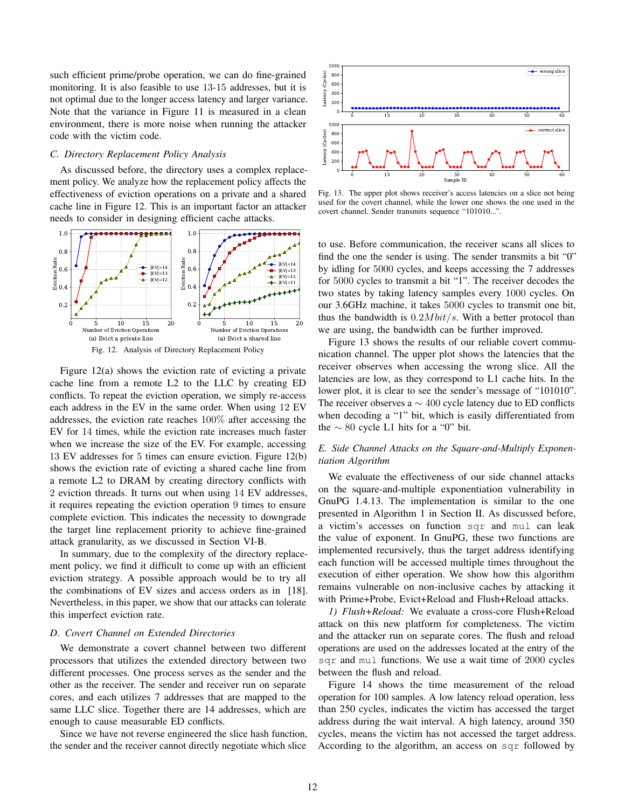such efficient prime/probe operation, we can do fine-grained monitoring. It is also feasible to use 13-15 addresses, but it is not optimal due to the longer access latency and larger variance. Note that the variance in Figure 11 is measured in a clean environment, there is more noise when running the attacker code with the victim code.

## *C. Directory Replacement Policy Analysis*

As discussed before, the directory uses a complex replacement policy. We analyze how the replacement policy affects the effectiveness of eviction operations on a private and a shared cache line in Figure 12. This is an important factor an attacker needs to consider in designing efficient cache attacks.



Figure 12(a) shows the eviction rate of evicting a private cache line from a remote L2 to the LLC by creating ED conflicts. To repeat the eviction operation, we simply re-access each address in the EV in the same order. When using 12 EV addresses, the eviction rate reaches 100% after accessing the EV for 14 times, while the eviction rate increases much faster when we increase the size of the EV. For example, accessing 13 EV addresses for 5 times can ensure eviction. Figure 12(b) shows the eviction rate of evicting a shared cache line from a remote L2 to DRAM by creating directory conflicts with 2 eviction threads. It turns out when using 14 EV addresses, it requires repeating the eviction operation 9 times to ensure complete eviction. This indicates the necessity to downgrade the target line replacement priority to achieve fine-grained attack granularity, as we discussed in Section VI-B.

In summary, due to the complexity of the directory replacement policy, we find it difficult to come up with an efficient eviction strategy. A possible approach would be to try all the combinations of EV sizes and access orders as in [18]. Nevertheless, in this paper, we show that our attacks can tolerate this imperfect eviction rate.

# *D. Covert Channel on Extended Directories*

We demonstrate a covert channel between two different processors that utilizes the extended directory between two different processes. One process serves as the sender and the other as the receiver. The sender and receiver run on separate cores, and each utilizes 7 addresses that are mapped to the same LLC slice. Together there are 14 addresses, which are enough to cause measurable ED conflicts.

Since we have not reverse engineered the slice hash function, the sender and the receiver cannot directly negotiate which slice



Fig. 13. The upper plot shows receiver's access latencies on a slice not being used for the covert channel, while the lower one shows the one used in the covert channel. Sender transmits sequence "101010...".

to use. Before communication, the receiver scans all slices to find the one the sender is using. The sender transmits a bit "0" by idling for 5000 cycles, and keeps accessing the 7 addresses for 5000 cycles to transmit a bit "1". The receiver decodes the two states by taking latency samples every 1000 cycles. On our 3.6GHz machine, it takes 5000 cycles to transmit one bit, thus the bandwidth is  $0.2Mbit/s$ . With a better protocol than we are using, the bandwidth can be further improved.

Figure 13 shows the results of our reliable covert communication channel. The upper plot shows the latencies that the receiver observes when accessing the wrong slice. All the latencies are low, as they correspond to L1 cache hits. In the lower plot, it is clear to see the sender's message of "101010". The receiver observes a  $\sim$  400 cycle latency due to ED conflicts when decoding a "1" bit, which is easily differentiated from the  $\sim$  80 cycle L1 hits for a "0" bit.

# *E. Side Channel Attacks on the Square-and-Multiply Exponentiation Algorithm*

We evaluate the effectiveness of our side channel attacks on the square-and-multiple exponentiation vulnerability in GnuPG 1.4.13. The implementation is similar to the one presented in Algorithm 1 in Section II. As discussed before, a victim's accesses on function sqr and mul can leak the value of exponent. In GnuPG, these two functions are implemented recursively, thus the target address identifying each function will be accessed multiple times throughout the execution of either operation. We show how this algorithm remains vulnerable on non-inclusive caches by attacking it with Prime+Probe, Evict+Reload and Flush+Reload attacks.

*1) Flush+Reload:* We evaluate a cross-core Flush+Reload attack on this new platform for completeness. The victim and the attacker run on separate cores. The flush and reload operations are used on the addresses located at the entry of the sqr and mul functions. We use a wait time of 2000 cycles between the flush and reload.

Figure 14 shows the time measurement of the reload operation for 100 samples. A low latency reload operation, less than 250 cycles, indicates the victim has accessed the target address during the wait interval. A high latency, around 350 cycles, means the victim has not accessed the target address. According to the algorithm, an access on sqr followed by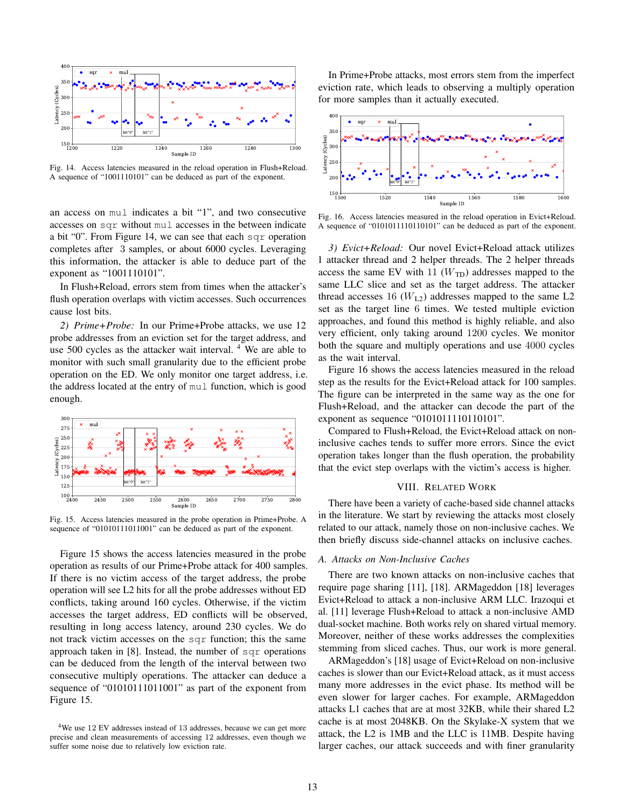

Fig. 14. Access latencies measured in the reload operation in Flush+Reload. A sequence of "1001110101" can be deduced as part of the exponent.

an access on mul indicates a bit "1", and two consecutive accesses on sqr without mul accesses in the between indicate a bit "0". From Figure 14, we can see that each sqr operation completes after 3 samples, or about 6000 cycles. Leveraging this information, the attacker is able to deduce part of the exponent as "1001110101".

In Flush+Reload, errors stem from times when the attacker's flush operation overlaps with victim accesses. Such occurrences cause lost bits.

*2) Prime+Probe:* In our Prime+Probe attacks, we use 12 probe addresses from an eviction set for the target address, and use 500 cycles as the attacker wait interval. <sup>4</sup> We are able to monitor with such small granularity due to the efficient probe operation on the ED. We only monitor one target address, i.e. the address located at the entry of mul function, which is good enough.



Fig. 15. Access latencies measured in the probe operation in Prime+Probe. A sequence of "01010111011001" can be deduced as part of the exponent.

Figure 15 shows the access latencies measured in the probe operation as results of our Prime+Probe attack for 400 samples. If there is no victim access of the target address, the probe operation will see L2 hits for all the probe addresses without ED conflicts, taking around 160 cycles. Otherwise, if the victim accesses the target address, ED conflicts will be observed, resulting in long access latency, around 230 cycles. We do not track victim accesses on the sqr function; this the same approach taken in [8]. Instead, the number of sqr operations can be deduced from the length of the interval between two consecutive multiply operations. The attacker can deduce a sequence of "01010111011001" as part of the exponent from Figure 15.

In Prime+Probe attacks, most errors stem from the imperfect eviction rate, which leads to observing a multiply operation for more samples than it actually executed.



Fig. 16. Access latencies measured in the reload operation in Evict+Reload. A sequence of "0101011110110101" can be deduced as part of the exponent.

*3) Evict+Reload:* Our novel Evict+Reload attack utilizes 1 attacker thread and 2 helper threads. The 2 helper threads access the same EV with 11  $(W_{\text{TD}})$  addresses mapped to the same LLC slice and set as the target address. The attacker thread accesses 16  $(W<sub>L2</sub>)$  addresses mapped to the same L2 set as the target line 6 times. We tested multiple eviction approaches, and found this method is highly reliable, and also very efficient, only taking around 1200 cycles. We monitor both the square and multiply operations and use 4000 cycles as the wait interval.

Figure 16 shows the access latencies measured in the reload step as the results for the Evict+Reload attack for 100 samples. The figure can be interpreted in the same way as the one for Flush+Reload, and the attacker can decode the part of the exponent as sequence "0101011110110101".

Compared to Flush+Reload, the Evict+Reload attack on noninclusive caches tends to suffer more errors. Since the evict operation takes longer than the flush operation, the probability that the evict step overlaps with the victim's access is higher.

# VIII. RELATED WORK

There have been a variety of cache-based side channel attacks in the literature. We start by reviewing the attacks most closely related to our attack, namely those on non-inclusive caches. We then briefly discuss side-channel attacks on inclusive caches.

# *A. Attacks on Non-Inclusive Caches*

There are two known attacks on non-inclusive caches that require page sharing [11], [18]. ARMageddon [18] leverages Evict+Reload to attack a non-inclusive ARM LLC. Irazoqui et al. [11] leverage Flush+Reload to attack a non-inclusive AMD dual-socket machine. Both works rely on shared virtual memory. Moreover, neither of these works addresses the complexities stemming from sliced caches. Thus, our work is more general.

ARMageddon's [18] usage of Evict+Reload on non-inclusive caches is slower than our Evict+Reload attack, as it must access many more addresses in the evict phase. Its method will be even slower for larger caches. For example, ARMageddon attacks L1 caches that are at most 32KB, while their shared L2 cache is at most 2048KB. On the Skylake-X system that we attack, the L2 is 1MB and the LLC is 11MB. Despite having larger caches, our attack succeeds and with finer granularity

<sup>&</sup>lt;sup>4</sup>We use 12 EV addresses instead of 13 addresses, because we can get more precise and clean measurements of accessing 12 addresses, even though we suffer some noise due to relatively low eviction rate.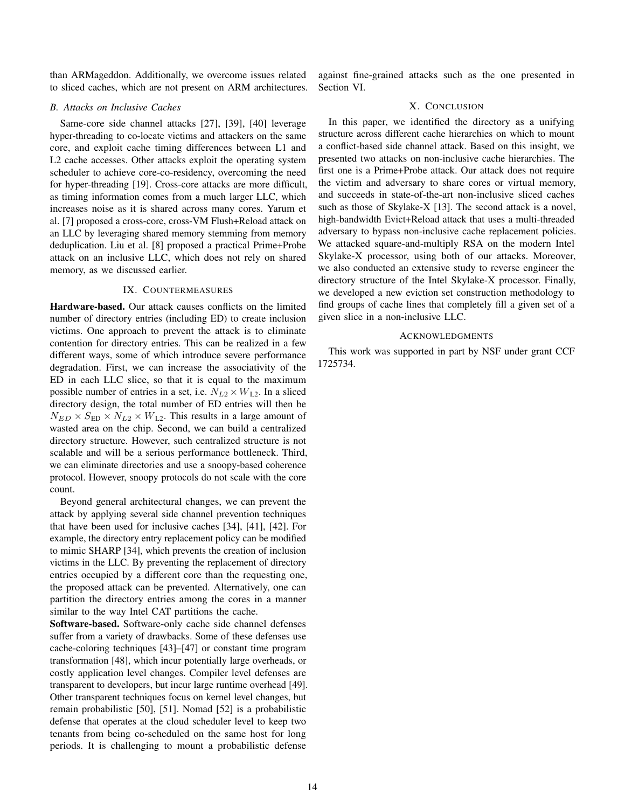than ARMageddon. Additionally, we overcome issues related to sliced caches, which are not present on ARM architectures.

#### *B. Attacks on Inclusive Caches*

Same-core side channel attacks [27], [39], [40] leverage hyper-threading to co-locate victims and attackers on the same core, and exploit cache timing differences between L1 and L2 cache accesses. Other attacks exploit the operating system scheduler to achieve core-co-residency, overcoming the need for hyper-threading [19]. Cross-core attacks are more difficult, as timing information comes from a much larger LLC, which increases noise as it is shared across many cores. Yarum et al. [7] proposed a cross-core, cross-VM Flush+Reload attack on an LLC by leveraging shared memory stemming from memory deduplication. Liu et al. [8] proposed a practical Prime+Probe attack on an inclusive LLC, which does not rely on shared memory, as we discussed earlier.

## IX. COUNTERMEASURES

Hardware-based. Our attack causes conflicts on the limited number of directory entries (including ED) to create inclusion victims. One approach to prevent the attack is to eliminate contention for directory entries. This can be realized in a few different ways, some of which introduce severe performance degradation. First, we can increase the associativity of the ED in each LLC slice, so that it is equal to the maximum possible number of entries in a set, i.e.  $N_{L2} \times W_{L2}$ . In a sliced directory design, the total number of ED entries will then be  $N_{ED} \times S_{ED} \times N_{L2} \times W_{L2}$ . This results in a large amount of wasted area on the chip. Second, we can build a centralized directory structure. However, such centralized structure is not scalable and will be a serious performance bottleneck. Third, we can eliminate directories and use a snoopy-based coherence protocol. However, snoopy protocols do not scale with the core count.

Beyond general architectural changes, we can prevent the attack by applying several side channel prevention techniques that have been used for inclusive caches [34], [41], [42]. For example, the directory entry replacement policy can be modified to mimic SHARP [34], which prevents the creation of inclusion victims in the LLC. By preventing the replacement of directory entries occupied by a different core than the requesting one, the proposed attack can be prevented. Alternatively, one can partition the directory entries among the cores in a manner similar to the way Intel CAT partitions the cache.

Software-based. Software-only cache side channel defenses suffer from a variety of drawbacks. Some of these defenses use cache-coloring techniques [43]–[47] or constant time program transformation [48], which incur potentially large overheads, or costly application level changes. Compiler level defenses are transparent to developers, but incur large runtime overhead [49]. Other transparent techniques focus on kernel level changes, but remain probabilistic [50], [51]. Nomad [52] is a probabilistic defense that operates at the cloud scheduler level to keep two tenants from being co-scheduled on the same host for long periods. It is challenging to mount a probabilistic defense

against fine-grained attacks such as the one presented in Section VI.

## X. CONCLUSION

In this paper, we identified the directory as a unifying structure across different cache hierarchies on which to mount a conflict-based side channel attack. Based on this insight, we presented two attacks on non-inclusive cache hierarchies. The first one is a Prime+Probe attack. Our attack does not require the victim and adversary to share cores or virtual memory, and succeeds in state-of-the-art non-inclusive sliced caches such as those of Skylake-X [13]. The second attack is a novel, high-bandwidth Evict+Reload attack that uses a multi-threaded adversary to bypass non-inclusive cache replacement policies. We attacked square-and-multiply RSA on the modern Intel Skylake-X processor, using both of our attacks. Moreover, we also conducted an extensive study to reverse engineer the directory structure of the Intel Skylake-X processor. Finally, we developed a new eviction set construction methodology to find groups of cache lines that completely fill a given set of a given slice in a non-inclusive LLC.

#### ACKNOWLEDGMENTS

This work was supported in part by NSF under grant CCF 1725734.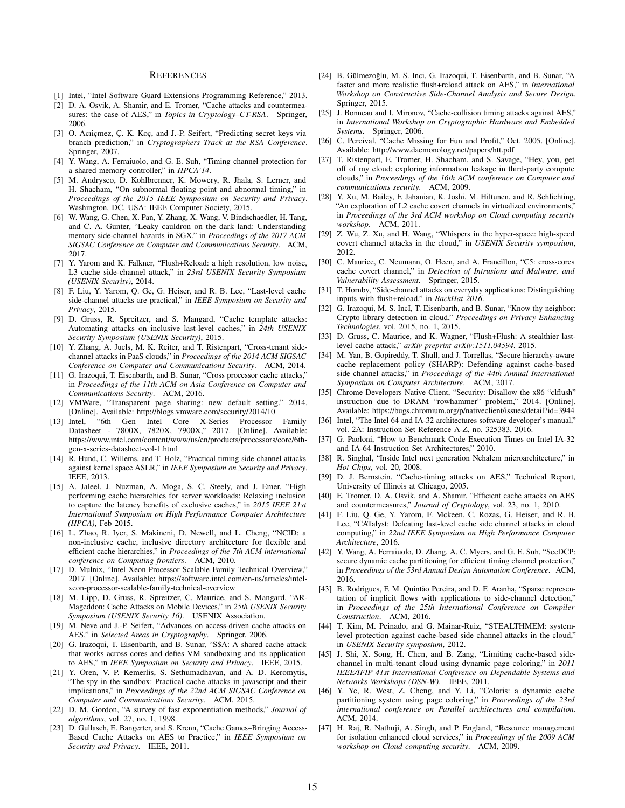#### **REFERENCES**

- [1] Intel, "Intel Software Guard Extensions Programming Reference," 2013.
- [2] D. A. Osvik, A. Shamir, and E. Tromer, "Cache attacks and countermeasures: the case of AES," in *Topics in Cryptology–CT-RSA*. Springer, 2006.
- [3] O. Acıiçmez, Ç. K. Koç, and J.-P. Seifert, "Predicting secret keys via branch prediction," in *Cryptographers Track at the RSA Conference*. Springer, 2007.
- [4] Y. Wang, A. Ferraiuolo, and G. E. Suh, "Timing channel protection for a shared memory controller," in *HPCA'14*.
- [5] M. Andrysco, D. Kohlbrenner, K. Mowery, R. Jhala, S. Lerner, and H. Shacham, "On subnormal floating point and abnormal timing," in *Proceedings of the 2015 IEEE Symposium on Security and Privacy*. Washington, DC, USA: IEEE Computer Society, 2015.
- [6] W. Wang, G. Chen, X. Pan, Y. Zhang, X. Wang, V. Bindschaedler, H. Tang, and C. A. Gunter, "Leaky cauldron on the dark land: Understanding memory side-channel hazards in SGX," in *Proceedings of the 2017 ACM SIGSAC Conference on Computer and Communications Security*. ACM, 2017.
- [7] Y. Yarom and K. Falkner, "Flush+Reload: a high resolution, low noise, L3 cache side-channel attack," in *23rd USENIX Security Symposium (USENIX Security)*, 2014.
- [8] F. Liu, Y. Yarom, Q. Ge, G. Heiser, and R. B. Lee, "Last-level cache side-channel attacks are practical," in *IEEE Symposium on Security and Privacy*, 2015.
- [9] D. Gruss, R. Spreitzer, and S. Mangard, "Cache template attacks: Automating attacks on inclusive last-level caches," in *24th USENIX Security Symposium (USENIX Security)*, 2015.
- [10] Y. Zhang, A. Juels, M. K. Reiter, and T. Ristenpart, "Cross-tenant sidechannel attacks in PaaS clouds," in *Proceedings of the 2014 ACM SIGSAC Conference on Computer and Communications Security*. ACM, 2014.
- [11] G. Irazoqui, T. Eisenbarth, and B. Sunar, "Cross processor cache attacks," in *Proceedings of the 11th ACM on Asia Conference on Computer and Communications Security*. ACM, 2016.
- [12] VMWare, "Transparent page sharing: new default setting." 2014. [Online]. Available: http://blogs.vmware.com/security/2014/10
- [13] Intel, "6th Gen Intel Core X-Series Processor Family Datasheet - 7800X, 7820X, 7900X," 2017. [Online]. Available: https://www.intel.com/content/www/us/en/products/processors/core/6thgen-x-series-datasheet-vol-1.html
- [14] R. Hund, C. Willems, and T. Holz, "Practical timing side channel attacks against kernel space ASLR," in *IEEE Symposium on Security and Privacy*. IEEE, 2013.
- [15] A. Jaleel, J. Nuzman, A. Moga, S. C. Steely, and J. Emer, "High performing cache hierarchies for server workloads: Relaxing inclusion to capture the latency benefits of exclusive caches," in *2015 IEEE 21st International Symposium on High Performance Computer Architecture (HPCA)*, Feb 2015.
- [16] L. Zhao, R. Iyer, S. Makineni, D. Newell, and L. Cheng, "NCID: a non-inclusive cache, inclusive directory architecture for flexible and efficient cache hierarchies," in *Proceedings of the 7th ACM international conference on Computing frontiers*. ACM, 2010.
- [17] D. Mulnix, "Intel Xeon Processor Scalable Family Technical Overview," 2017. [Online]. Available: https://software.intel.com/en-us/articles/intelxeon-processor-scalable-family-technical-overview
- [18] M. Lipp, D. Gruss, R. Spreitzer, C. Maurice, and S. Mangard, "AR-Mageddon: Cache Attacks on Mobile Devices," in *25th USENIX Security Symposium (USENIX Security 16)*. USENIX Association.
- [19] M. Neve and J.-P. Seifert, "Advances on access-driven cache attacks on AES," in *Selected Areas in Cryptography*. Springer, 2006.
- [20] G. Irazoqui, T. Eisenbarth, and B. Sunar, "S\$A: A shared cache attack that works across cores and defies VM sandboxing and its application to AES," in *IEEE Symposium on Security and Privacy*. IEEE, 2015.
- [21] Y. Oren, V. P. Kemerlis, S. Sethumadhavan, and A. D. Keromytis, "The spy in the sandbox: Practical cache attacks in javascript and their implications," in *Proceedings of the 22nd ACM SIGSAC Conference on Computer and Communications Security*. ACM, 2015.
- [22] D. M. Gordon, "A survey of fast exponentiation methods," *Journal of algorithms*, vol. 27, no. 1, 1998.
- [23] D. Gullasch, E. Bangerter, and S. Krenn, "Cache Games–Bringing Access-Based Cache Attacks on AES to Practice," in *IEEE Symposium on Security and Privacy*. IEEE, 2011.
- [24] B. Gülmezoğlu, M. S. Inci, G. Irazoqui, T. Eisenbarth, and B. Sunar, "A faster and more realistic flush+reload attack on AES," in *International Workshop on Constructive Side-Channel Analysis and Secure Design*. Springer, 2015.
- [25] J. Bonneau and I. Mironov, "Cache-collision timing attacks against AES," in *International Workshop on Cryptographic Hardware and Embedded Systems*. Springer, 2006.
- [26] C. Percival, "Cache Missing for Fun and Profit," Oct. 2005. [Online]. Available: http://www.daemonology.net/papers/htt.pdf
- [27] T. Ristenpart, E. Tromer, H. Shacham, and S. Savage, "Hey, you, get off of my cloud: exploring information leakage in third-party compute clouds," in *Proceedings of the 16th ACM conference on Computer and communications security*. ACM, 2009.
- [28] Y. Xu, M. Bailey, F. Jahanian, K. Joshi, M. Hiltunen, and R. Schlichting, "An exploration of L2 cache covert channels in virtualized environments," in *Proceedings of the 3rd ACM workshop on Cloud computing security workshop*. ACM, 2011.
- [29] Z. Wu, Z. Xu, and H. Wang, "Whispers in the hyper-space: high-speed covert channel attacks in the cloud," in *USENIX Security symposium*, 2012.
- [30] C. Maurice, C. Neumann, O. Heen, and A. Francillon, "C5: cross-cores cache covert channel," in *Detection of Intrusions and Malware, and Vulnerability Assessment*. Springer, 2015.
- [31] T. Hornby, "Side-channel attacks on everyday applications: Distinguishing inputs with flush+reload," in *BackHat 2016*.
- [32] G. Irazoqui, M. S. IncI, T. Eisenbarth, and B. Sunar, "Know thy neighbor: Crypto library detection in cloud," *Proceedings on Privacy Enhancing Technologies*, vol. 2015, no. 1, 2015.
- [33] D. Gruss, C. Maurice, and K. Wagner, "Flush+Flush: A stealthier lastlevel cache attack," *arXiv preprint arXiv:1511.04594*, 2015.
- [34] M. Yan, B. Gopireddy, T. Shull, and J. Torrellas, "Secure hierarchy-aware cache replacement policy (SHARP): Defending against cache-based side channel attacks," in *Proceedings of the 44th Annual International Symposium on Computer Architecture*. ACM, 2017.
- [35] Chrome Developers Native Client, "Security: Disallow the x86 "clflush" instruction due to DRAM "rowhammer" problem," 2014. [Online]. Available: https://bugs.chromium.org/p/nativeclient/issues/detail?id=3944
- [36] Intel, "The Intel 64 and IA-32 architectures software developer's manual," vol. 2A: Instruction Set Reference A-Z, no. 325383, 2016.
- [37] G. Paoloni, "How to Benchmark Code Execution Times on Intel IA-32 and IA-64 Instruction Set Architectures," 2010.
- [38] R. Singhal, "Inside Intel next generation Nehalem microarchitecture," in *Hot Chips*, vol. 20, 2008.
- [39] D. J. Bernstein, "Cache-timing attacks on AES," Technical Report, University of Illinois at Chicago, 2005.
- [40] E. Tromer, D. A. Osvik, and A. Shamir, "Efficient cache attacks on AES and countermeasures," *Journal of Cryptology*, vol. 23, no. 1, 2010.
- [41] F. Liu, Q. Ge, Y. Yarom, F. Mckeen, C. Rozas, G. Heiser, and R. B. Lee, "CATalyst: Defeating last-level cache side channel attacks in cloud computing," in *22nd IEEE Symposium on High Performance Computer Architecture*, 2016.
- [42] Y. Wang, A. Ferraiuolo, D. Zhang, A. C. Myers, and G. E. Suh, "SecDCP: secure dynamic cache partitioning for efficient timing channel protection," in *Proceedings of the 53rd Annual Design Automation Conference*. ACM, 2016.
- [43] B. Rodrigues, F. M. Quintão Pereira, and D. F. Aranha, "Sparse representation of implicit flows with applications to side-channel detection," in *Proceedings of the 25th International Conference on Compiler Construction*. ACM, 2016.
- [44] T. Kim, M. Peinado, and G. Mainar-Ruiz, "STEALTHMEM: systemlevel protection against cache-based side channel attacks in the cloud," in *USENIX Security symposium*, 2012.
- [45] J. Shi, X. Song, H. Chen, and B. Zang, "Limiting cache-based sidechannel in multi-tenant cloud using dynamic page coloring," in *2011 IEEE/IFIP 41st International Conference on Dependable Systems and Networks Workshops (DSN-W)*. IEEE, 2011.
- [46] Y. Ye, R. West, Z. Cheng, and Y. Li, "Coloris: a dynamic cache partitioning system using page coloring," in *Proceedings of the 23rd international conference on Parallel architectures and compilation*. ACM, 2014.
- [47] H. Raj, R. Nathuji, A. Singh, and P. England, "Resource management for isolation enhanced cloud services," in *Proceedings of the 2009 ACM workshop on Cloud computing security*. ACM, 2009.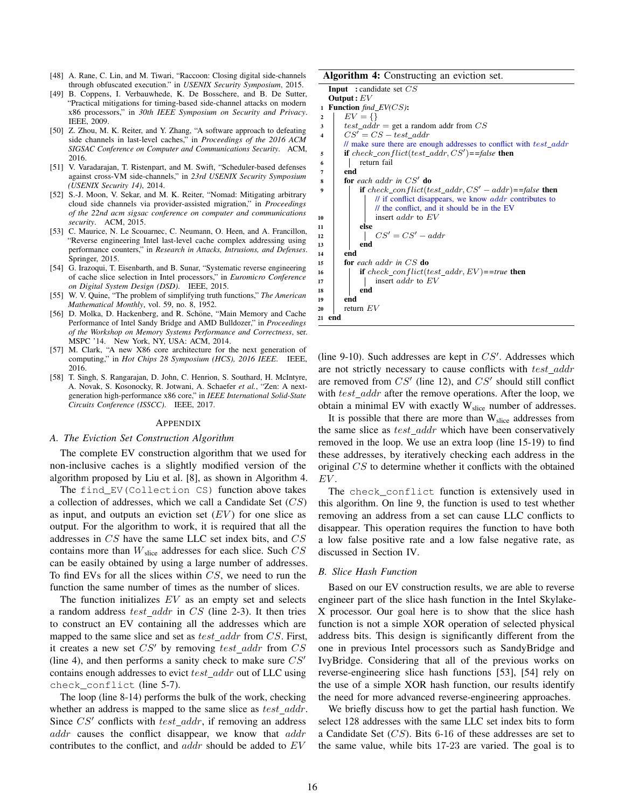- [48] A. Rane, C. Lin, and M. Tiwari, "Raccoon: Closing digital side-channels through obfuscated execution." in *USENIX Security Symposium*, 2015.
- [49] B. Coppens, I. Verbauwhede, K. De Bosschere, and B. De Sutter, "Practical mitigations for timing-based side-channel attacks on modern x86 processors," in *30th IEEE Symposium on Security and Privacy*. IEEE, 2009.
- [50] Z. Zhou, M. K. Reiter, and Y. Zhang, "A software approach to defeating side channels in last-level caches," in *Proceedings of the 2016 ACM SIGSAC Conference on Computer and Communications Security*. ACM, 2016.
- [51] V. Varadarajan, T. Ristenpart, and M. Swift, "Scheduler-based defenses against cross-VM side-channels," in *23rd USENIX Security Symposium (USENIX Security 14)*, 2014.
- [52] S.-J. Moon, V. Sekar, and M. K. Reiter, "Nomad: Mitigating arbitrary cloud side channels via provider-assisted migration," in *Proceedings of the 22nd acm sigsac conference on computer and communications security*. ACM, 2015.
- [53] C. Maurice, N. Le Scouarnec, C. Neumann, O. Heen, and A. Francillon, "Reverse engineering Intel last-level cache complex addressing using performance counters," in *Research in Attacks, Intrusions, and Defenses*. Springer, 2015.
- [54] G. Irazoqui, T. Eisenbarth, and B. Sunar, "Systematic reverse engineering of cache slice selection in Intel processors," in *Euromicro Conference on Digital System Design (DSD)*. IEEE, 2015.
- [55] W. V. Quine, "The problem of simplifying truth functions," *The American Mathematical Monthly*, vol. 59, no. 8, 1952.
- [56] D. Molka, D. Hackenberg, and R. Schöne, "Main Memory and Cache Performance of Intel Sandy Bridge and AMD Bulldozer," in *Proceedings of the Workshop on Memory Systems Performance and Correctness*, ser. MSPC '14. New York, NY, USA: ACM, 2014.
- [57] M. Clark, "A new X86 core architecture for the next generation of computing," in *Hot Chips 28 Symposium (HCS), 2016 IEEE*. IEEE, 2016.
- [58] T. Singh, S. Rangarajan, D. John, C. Henrion, S. Southard, H. McIntyre, A. Novak, S. Kosonocky, R. Jotwani, A. Schaefer *et al.*, "Zen: A nextgeneration high-performance x86 core," in *IEEE International Solid-State Circuits Conference (ISSCC)*. IEEE, 2017.

#### APPENDIX

#### *A. The Eviction Set Construction Algorithm*

The complete EV construction algorithm that we used for non-inclusive caches is a slightly modified version of the algorithm proposed by Liu et al. [8], as shown in Algorithm 4.

The find EV(Collection CS) function above takes a collection of addresses, which we call a Candidate Set  $(CS)$ as input, and outputs an eviction set  $(EV)$  for one slice as output. For the algorithm to work, it is required that all the addresses in CS have the same LLC set index bits, and CS contains more than  $W_{\text{slice}}$  addresses for each slice. Such  $CS$ can be easily obtained by using a large number of addresses. To find EVs for all the slices within CS, we need to run the function the same number of times as the number of slices.

The function initializes  $EV$  as an empty set and selects a random address  $test\_addr$  in  $CS$  (line 2-3). It then tries to construct an EV containing all the addresses which are mapped to the same slice and set as  $test\_addr$  from  $CS$ . First, it creates a new set  $CS'$  by removing test addr from  $CS$ (line 4), and then performs a sanity check to make sure  $CS'$ contains enough addresses to evict  $test\_addr$  out of LLC using check\_conflict (line 5-7).

The loop (line 8-14) performs the bulk of the work, checking whether an address is mapped to the same slice as  $test\_addr$ . Since  $CS'$  conflicts with  $test\_addr$ , if removing an address addr causes the conflict disappear, we know that addr contributes to the conflict, and addr should be added to EV

| Algorithm 4: Constructing an eviction set. |
|--------------------------------------------|
|--------------------------------------------|

| $\boldsymbol{\Lambda}$ and $\boldsymbol{\Lambda}$ and $\boldsymbol{\Lambda}$ and $\boldsymbol{\Lambda}$ are $\boldsymbol{\Lambda}$ and $\boldsymbol{\Lambda}$ are $\boldsymbol{\Lambda}$ |
|------------------------------------------------------------------------------------------------------------------------------------------------------------------------------------------|
| <b>Input</b> : candidate set $CS$                                                                                                                                                        |
| Output: $EV$                                                                                                                                                                             |
| <b>Function</b> $find\_EV(CS)$ :<br>$\mathbf{1}$                                                                                                                                         |
| $EV = \{\}$<br>$\mathbf{2}$                                                                                                                                                              |
| <i>test addr</i> = get a random addr from $CS$<br>$\mathbf{3}$                                                                                                                           |
| $CS' = CS - test \text{ addr}$<br>$\overline{\mathbf{4}}$                                                                                                                                |
| // make sure there are enough addresses to conflict with test_addr                                                                                                                       |
| if check_conflict(test_addr, $CS'$ )==false then<br>5                                                                                                                                    |
| return fail<br>6                                                                                                                                                                         |
| end<br>7                                                                                                                                                                                 |
| for each addr in $CS'$ do<br>8                                                                                                                                                           |
| <b>if</b> check_conflict(test_addr, $CS'$ – addr)==false then<br>$\boldsymbol{9}$                                                                                                        |
| $\ell$ if conflict disappears, we know <i>addr</i> contributes to                                                                                                                        |
| // the conflict, and it should be in the EV                                                                                                                                              |
| insert <i>addr</i> to $EV$<br>10                                                                                                                                                         |
| else<br>11                                                                                                                                                                               |
| $CS' = CS' - addr$<br>12                                                                                                                                                                 |
| end<br>13                                                                                                                                                                                |
| end<br>14                                                                                                                                                                                |
| <b>for</b> each addr in $CS$ <b>do</b><br>15                                                                                                                                             |
| <b>if</b> check_conflict(test_addr, $EV$ )==true <b>then</b><br>16                                                                                                                       |
| insert <i>addr</i> to EV<br>17                                                                                                                                                           |
| end<br>18                                                                                                                                                                                |
| end<br>19                                                                                                                                                                                |
| return $EV$<br>20                                                                                                                                                                        |
| 21 end                                                                                                                                                                                   |
|                                                                                                                                                                                          |

(line 9-10). Such addresses are kept in  $CS'$ . Addresses which are not strictly necessary to cause conflicts with test addr are removed from  $CS'$  (line 12), and  $CS'$  should still conflict with  $test\_addr$  after the remove operations. After the loop, we obtain a minimal EV with exactly  $W<sub>slice</sub>$  number of addresses.

It is possible that there are more than  $W<sub>slice</sub>$  addresses from the same slice as  $test\_addr$  which have been conservatively removed in the loop. We use an extra loop (line 15-19) to find these addresses, by iteratively checking each address in the original CS to determine whether it conflicts with the obtained EV .

The check\_conflict function is extensively used in this algorithm. On line 9, the function is used to test whether removing an address from a set can cause LLC conflicts to disappear. This operation requires the function to have both a low false positive rate and a low false negative rate, as discussed in Section IV.

## *B. Slice Hash Function*

Based on our EV construction results, we are able to reverse engineer part of the slice hash function in the Intel Skylake-X processor. Our goal here is to show that the slice hash function is not a simple XOR operation of selected physical address bits. This design is significantly different from the one in previous Intel processors such as SandyBridge and IvyBridge. Considering that all of the previous works on reverse-engineering slice hash functions [53], [54] rely on the use of a simple XOR hash function, our results identify the need for more advanced reverse-engineering approaches.

We briefly discuss how to get the partial hash function. We select 128 addresses with the same LLC set index bits to form a Candidate Set  $(CS)$ . Bits 6-16 of these addresses are set to the same value, while bits 17-23 are varied. The goal is to